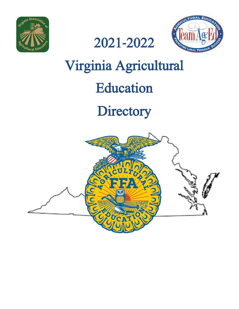





# Virginia Agricultural Education

# **Directory**

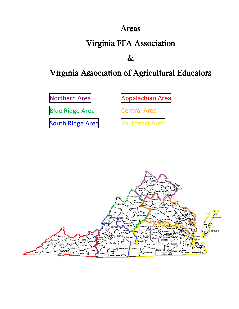### Areas

# **Virginia FFA Association**

# $\boldsymbol{\&}$

# Virginia Association of Agricultural Educators

[Northern](#page-15-0) Area

[Appalachian](#page-5-0) Area

Blue [Ridge](#page-9-0) Area [Central](#page-12-0) Area

[South](#page-22-0) Ridge Area [Southeast](#page-18-0) Area

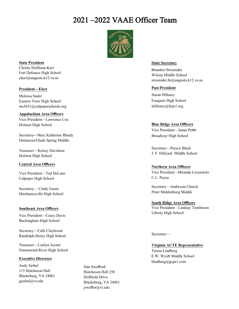## 2021 –2022 VAAE Officer Team



**State President** Christy Huffman-Kerr Fort Defiance High School ckerr@augusta.k12.va.us

#### **President—Elect**

Melessa Suder Eastern View High School ms5631@culpeperschools.org

**Appalachian Area Officers** Vice President—Lawrence Cox Holston High School

Secretary‐ Mary Katherine Rhudy Damascus/Glade Spring Middle

Treasurer—Kelsey Davidson Holston High School

#### **Central Area Officers**

Vice President—Ted DeLano Culpeper High School

Secretary— Cindy Green Mechanicsville High School

#### **Southeast Area Officers**

Vice President—Casey Davis Buckingham High School

Secretary—Calli Claybrook Randolph-Henry High School

Treasurer—Caitlyn Joyner Nansemond River High School

#### **Executive Directors**

Andy Seibel 115 Hutcheson Hall Blacksburg, VA 24061 gseibel@vt.edu

Dan Swafford Hutcheson Hall 250 Drillfield Drive Blacksburg, VA 24061 jswaffor@vt.edu

#### **State Secretary**

Brandon Strosnider Wilson Middle School strosnider.br@augusta.k12.va.us

#### **Past‐President**

Susan Hilleary Fauquier High School shilleary@fcps1.org

#### **Blue Ridge Area Officers**

Vice President—Janae Pettit Broadway High School

Secretary—Paryce Black J. F. Hillyard Middle School

#### **Northern Area Officers**

Vice President - Miranda Locuratolo C.L. Payne

Secretary—Ambrosia Church Peter Muhlenburg Middle

**South Ridge Area Officers** Vice President—Lindsay Tomlinson Liberty High School

Secretary—

**Virginia ACTE RepresentaƟve** Teresa Lindberg E.W. WyaƩ Middle School

tlindberg@gcps1.com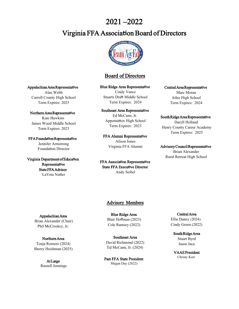### 2021 –2022

### Virginia FFA Associa**Ɵ**on Board of Directors



### Board of Directors

#### **Blue Ridge Area Representative**

Cindy Vance Stuarts Draft Middle School Term Expires: 2024

#### Southeast Area Representative

Ed McCann, Jr. Appomattox High School Term Expires: 2023

FFA Alumni Representative Alison Jones Virginia FFA Alumni

FFA Association Representative **State FFA Executive Director** Andy Seibel

#### Central Area Representative

Marc Moran Atlee High School Term Expires: 2024

#### South Ridge Area Representative

Daryll Holland Henry County Career Academy Term Expires: 2025

#### Advisory Council Representative

Brian Alexander Rural Retreat High School

#### Appalachian Area Representative

Alan Webb Carroll County High School Term Expires: 2025

Northern Area Representative Kate Hawkins James Wood Middle School Term Expires: 2023

FFA Founda**Ɵ**on Representa**Ɵ**ve Jennifer Armstrong Foundation Director

Virginia Department of Education Representa**Ɵ**ve State FFA Advisor LaVeta Nutter

#### Advisory Members

Appalachian Area Brian Alexander (Chair) Phil McCroskey, Jr.

Northern Area Tonja Romero (2024) Sherry Heishman (2025)

> At Large Russell Jennings

Blue Ridge Area Blair Hoffman (2023) Cole Ramsey (2022)

Southeast Area David Richmond (2022) Ed McCann, Jr. (2024)

Past FFA State President Megan Day (2022)

Central Area Ellie Daney (2024) Cindy Green (2022)

South Ridge Area Stuart Byrd Jason Ince

VAAE President Christy Kerr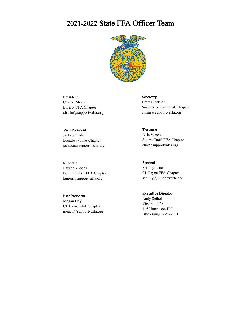### 2021-2022 State FFA Officer Team



#### President

Charlie Moser Liberty FFA Chapter charlie@supportvaffa.org

#### Vice President

Jackson Lohr Broadway FFA Chapter jackson@supportvaffa.org

#### Reporter

Lauren Rhodes Fort Defiance FFA Chapter lauren@supportvaffa.org

#### Past President

Megan Day CL Payne FFA Chapter megan@supportvaffa.org Secretary Emma Jackson Smith Mountain FFA Chapter emma@supportvaffa.org

Treasurer Ellie Vance Stuarts Draft FFA Chapter ellie@supportvaffa.org

Sentinel Sammy Leach CL Payne FFA Chapter sammy@supportvaffa.org

**Executive Director** Andy Seibel Virginia FFA 115 Hutcheson Hall Blacksburg, VA 24061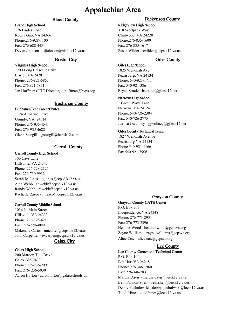#### Bland County

#### <span id="page-5-0"></span>Bland High School

176 Eagles Road Rocky Gap, VA 24366 Phone:276‐928‐1100 Fax: 276‐688‐4451 Devan Johnson— djohnson@blandk12.va.us

#### Bristol City

#### Virginia High School

1200 Long Crescent Drive Bristol, VA 24201 Phone: 276‐821‐5853 Fax: 276.821.5851 Jan Huffman (CTE Director) - jhuffman@bvps.org

#### Buchanan County

#### Buchanan Tech Career Center

1124 Almarine Drive Grundy, VA 24614 Phone: 276-935‐4541 Fax: 276-935‐4682 Glenn Sturgill ‐ gsturgill@bcpsk12.com

### Carroll County

#### Carroll County High School

100 Cavs Lane Hillsville, VA 24343 Phone: 276‐728‐2125 Fax: 276‐730‐9932 Sarah Jo Jones - sjjones@ccpsd.k12.va.us Alan Webb ‐ adwebb@ccpsd.k12.va.us Randy Webb ‐ rcwebb@ccpsd.k12.va.us Rachelle Rasco - rnrasco@ccpsd.k12.va.us

#### Carroll County Middle School

1036 N. Main Street Hillsville, VA 24333 Phone: 276‐728‐4211 Fax: 276‐728‐4089 Makenzie Carter– mncarter@ccpsd.k12.va.us John Carpenter ‐ jwcarpen@ccpsd.k12.va.us

#### Galax City

#### Galax High School

200 Maroon Tide Drive Galax, VA 24333 Phone: 276‐236‐2991 Fax: 276‐ 236‐5930 Aaron Horton - aaronhorton@galaxschools.us

### Dickenson County

#### Ridgeview High School

310 Wolfpack Way Clintwood, VA 24228 Phone:276‐835‐1600 Fax: 276‐835‐1617 Susan Wilder ‐ swilder@dcps.k12.va.us

### Giles County

#### Giles High School

1825 Wenonah Ave Pearisburg, VA 24134 Phone: 540‐921‐1711 Fax: 540‐921‐3861 Bryan Strader‐ bstrader@gilesk12.net

#### Narrows High School

1 Green Wave Lane Narrows, VA 24124 Phone: 540‐726‐2384 Fax: 540‐726‐2775 Jessica Gwaltney ‐ jgwaltney@gilesk12.net

#### Giles County Technical Center

1827 Wenonah Avenue Pearisburg VA 24134 Phone 540-921-1166 Fax 540-921-3906

### Grayson County

#### Grayson County CATE Center

P.O. Box 707 Independence, VA 24348 Phone: 276‐773‐2951 Fax: 276‐773‐2396 Heather Wood - heather.wood@gcpsva.org Zayne Williams - zayne.williams@gcpsva.org Alice Cox—alice.cox@gcpsva.org

### Lee County

#### Lee County Career and Technical Center

P.O. Box 100 Ben Hur, VA 24218 Phone: 276‐346‐1960 Fax: 276‐346‐2831 Martha Davis ‐ martha.davis@lee.k12.va.us Beth Fannon‐Shell ‐ beth.shell@lee.k12.va.us Debby Pacholewski –debby.pacholwski@lee.k12.va.us Todd Hines –todd.hines@lee.k12.va.us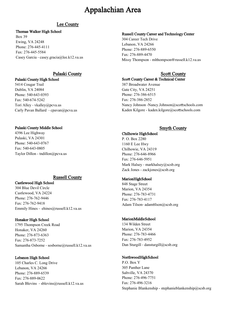#### Lee County

#### Thomas Walker High School

Box 39 Ewing, VA 24248 Phone: 276‐445‐4111 Fax: 276‐445‐5584 Casey Garcia ‐ casey.gracia@lee.k12.va.us

#### Pulaski County Scott County

#### Pulaski County High School

5414 Cougar Trail Dublin, VA 24084 Phone: 540‐643‐0393 Fax: 540‐674‐5242 Tori Alley ‐ vkalley@pcva.us Carly Pavan Ballard ‐ cpavan@pcva.us

#### Pulaski County Middle School

4396 Lee Highway Pulaski, VA 24301 Phone: 540‐643‐0767 Fax: 540‐643‐0805 Taylor Dillon - tndillon@pcva.us

#### Russell County

#### Castlewood High School

304 Blue Devil Circle Castlewood, VA 24224 Phone: 276‐762‐9446 Fax: 276‐762‐9418 Emmily Hines ‐ ehines@russell.k12.va.us

#### Honaker High School

1795 Thompson Creek Road Honaker, VA 24260 Phone: 276‐873‐6363 Fax: 276‐873‐7252 Samantha Osborne ‐ sosborne@russell.k12.va.us

#### Lebanon High School

105 Charles C. Long Drive Lebanon, VA 24266 Phone: 276‐889‐6539 Fax: 276‐889‐0622 Sarah Blevins ‐ sblevins@russell.k12.va.us

#### Russell County Career and Technology Center

304 Career Tech Drive Lebanon, VA 24266 Phone: 276‐889‐6550 Fax: 276-889-4470 Missy Thompson - mlthompson@russell.k12.va.us

#### Scott County Career & Technical Center

387 Broadwater Avenue Gate City, VA 24251 Phone: 276‐386‐6515 Fax: 276‐386‐2852 Nancy Johnson -Nancy.Johnson@scottschools.com Kaden Kilgore - kaden.kilgore@scottschools.com

#### Smyth County

#### Chilhowie High School

P. O. Box 2280 1160 E Lee Hwy Chilhowie, VA 24319 Phone: 276‐646‐8966 Fax: 276‐646‐5951 Mark Halsey - markhalsey@scsb.org Zack Jones - zackjones@scsb.org

#### Marion High School

848 Stage Street Marion, VA 24354 Phone: 276‐783‐4731 Fax: 276‐783‐4117 Adam Tilson- adamtilson@scsb.org

#### Marion Middle School

134 Wilden Street Marion, VA 24354 Phone: 276‐783‐4466 Fax: 276‐783‐4952 Dan Sturgill - dansturgill@scsb.org

#### Northwood High School

P.O. Box Y 305 Panther Lane Saltville, VA 24370 Phone: 276‐496‐7751 Fax: 276‐496‐3216 Stephanie Blankenship - stephanieblankenship@scsb.org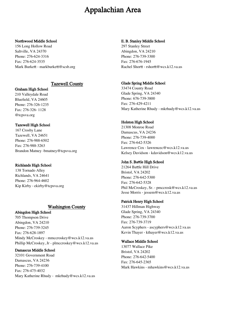#### Northwood Middle School

156 Long Hollow Road Saltville, VA 24370 Phone: 276‐624‐3316 Fax: 276‐624‐3535 Mark Burkett - markburkett@scsb.org

#### Tazewell County

#### Graham High School

210 Valleydale Road Bluefield, VA 24605 Phone: 276‐326‐1235 Fax: 276‐326‐ 1128 @tcpsva.org

#### Tazewell High School

167 Crosby Lane Tazewell, VA 24651 Phone: 276‐988‐6502 Fax: 276‐988‐3263 Brandon Matney ‐bmatney@tcpsva.org

#### Richlands High School

138 Tornado Alley Richlands, VA 24641 Phone: 276‐964‐4602 Kip Kirby ‐ ekirby@tcpsva.org

#### Washington County

#### Abingdon High School 705 Thompson Drive

Abingdon, VA 24210 Phone: 276‐739‐3245 Fax: 276‐628‐1897 Mindy McCroskey ‐ mmccroskey@wcs.k12.va.us Phillip McCroskey, Jr - plmccroskey@wcs.k12.va.us

#### Damascus Middle School

32101 Government Road Damascus, VA 24236 Phone: 276‐739‐4100 Fax: 276‐475‐4032 Mary Katherine Rhudy ‐ mkrhudy@wcs.k12.va.us

#### E. B. Stanley Middle School

297 Stanley Street Abingdon, VA 24210 Phone: 276‐739‐3300 Fax: 276‐676‐1945 Rachel Shortt - rshortt@wcs.k12.va.us

#### Glade Spring Middle School

33474 County Road Glade Spring, VA 24340 Phone: 676‐739‐3800 Fax: 276‐429‐4211 Mary Katherine Rhudy ‐ mkrhudy@wcs.k12.va.us

#### Holston High School

21308 Monroe Road Damascus, VA 24236 Phone: 276‐739‐4000 Fax: 276‐642‐5326 Lawrence Cox ‐ lawrencec@wcs.k12.va.us Kelsey Davidson ‐ kdavidson@wcs.k12.va.us

#### John S. Battle High School

21264 Battle Hill Drive Bristol, VA 24202 Phone: 276‐642‐5300 Fax: 276‐642‐5328 Phil McCroskey, Sr. ‐ pmccrosk@wcs.k12.va.us Jesse Morris ‐ jessem@wcs.k12.va.us

#### Patrick Henry High School

31437 Hillman Highway Glade Spring, VA 24340 Phone: 276‐739‐3700 Fax: 276‐739‐3719 Aaron Scyphers ‐ ascyphers@wcs.k12.va.us Kevin Thayer ‐ kthayer@wcs.k12.va.us

#### Wallace Middle School

13077 Wallace Pike Bristol, VA 24202 Phone: 276‐642‐5400 Fax: 276‐645‐2365 Mark Hawkins - mhawkins@wcs.k12 va.us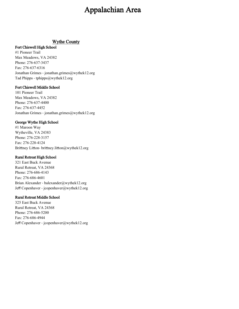#### Wythe County

#### Fort Chiswell High School

#1 Pioneer Trail Max Meadows, VA 24382 Phone: 276‐637‐3437 Fax: 276‐637‐6316 Jonathan Grimes ‐ jonathan.grimes@wythek12.org Tad Phipps - tphipps@wythek12.org

#### Fort Chiswell Middle School

101 Pioneer Trail Max Meadows, VA 24382 Phone: 276‐637‐4400 Fax: 276‐637‐4452 Jonathan Grimes ‐ jonathan.grimes@wythek12.org

#### George Wythe High School

#1 Maroon Way Wytheville, VA 24383 Phone: 276‐228‐3157 Fax: 276‐228‐4124 Brittney Litton- brittney.litton@wythek12.org

#### Rural Retreat High School

321 East Buck Avenue Rural Retreat, VA 24368 Phone: 276‐686‐4143 Fax: 276‐686‐4601 Brian Alexander ‐ balexander@wythek12.org Jeff Copenhaver ‐ jcopenhaver@wythek12.org

#### Rural Retreat Middle School

325 East Buck Avenue Rural Retreat, VA 24368 Phone: 276‐686‐5200 Fax: 276‐686‐4944 Jeff Copenhaver ‐ jcopenhaver@wythek12.org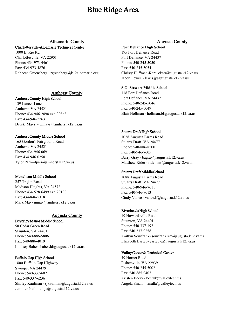### Blue Ridge Area

#### Albemarle County

#### <span id="page-9-0"></span>Charlo**Ʃ**esville**‐**Albemarle Technical Center

1000 E. Rio Rd. Charlottesville, VA 22901 Phone: 434‐973‐4461 Fax: 434‐973‐4876 Rebecca Greensberg ‐ rgreenberg@k12albemarle.org

#### Amherst County

#### Amherst County High School

139 Lancer Lane Amherst, VA 24521 Phone: 434‐946‐2898 ext. 30868 Fax: 434‐946‐2263 Derek Mays ‐ wmays@amherst.k12.va.us

#### Amherst County Middle School

165 Gordon's Fairground Road Amherst, VA 24521 Phone: 434‐946‐0691 Fax: 434‐946‐0258 Tyler Parr—tparr@amherst.k12.va.us

#### Monelison Middle School

257 Trojan Road Madison Heights, VA 24572 Phone: 434‐528‐6499 ext. 20130 Fax: 434‐846‐5318 Mark May‐ mmay@amherst.k12.va.us

#### Augusta County

#### Beverley Manor Middle School

58 Cedar Green Road Staunton, VA 24401 Phone: 540‐886‐5806 Fax: 540‐886‐4019 Lindsey Baber- baber.ld@augusta.k12.va.us

#### Bu**ff**alo Gap High School

1800 Buffalo Gap Highway Swoope, VA 24479 Phone: 540‐337‐6021 Fax: 540‐337‐6236 Shirley Kaufman ‐ sjkaufman@augusta.k12.va.us Jennifer Neil‐ neil.jc@augusta.k12.va.us

#### Augusta County

#### **Fort Defiance High School**

195 Fort Defiance Road Fort Defiance, VA 24437 Phone: 540‐245‐5050 Fax: 540‐245‐5054 Christy Huffman-Kerr‐ ckerr@augusta.k12.va.us Jacob Lewis ‐ lewis.jp@augusta.k12.va.us

#### **S.G. Stewart Middle School**

118 Fort Defiance Road Fort Defiance, VA 24437 Phone: 540‐245‐5046 Fax: 540‐245‐5049 Blair Hoffman ‐ hoffman.bl@augusta.k12.va.us

#### Stuarts Draft High School

1028 Augusta Farms Road Stuarts Draft, VA 24477 Phone: 540‐886‐8500 Fax: 540‐946‐7605 Barry Gray ‐ bagray@augusta.k12.va.us Matthew Rider - rider.mv@augusta.k12.va.us

#### Stuarts Draft Middle School

1088 Augusta Farms Road Stuarts Draft, VA 24477 Phone: 540‐946‐7611 Fax: 540‐946‐7613 Cindy Vance ‐ vance.lf@augusta.k12.va.us

#### Riverheads High School

19 Howardsville Road Staunton, VA 24401 Phone: 540‐337‐1921 Fax: 540‐337‐0258 Kaitlyn Sonifrank‐ sonifrank.km@augusta.k12.va.us Elizabeth Eastep‐ eastep.ea@augusta.k12.va.us

#### Valley Career & Technical Center

49 Hornet Road Fishersville, VA 22939 Phone: 540‐245‐5002 Fax: 540‐885‐0407 Kristen Beery ‐ beeryk@valleytech.us Angela Small—smalla@valleytech.us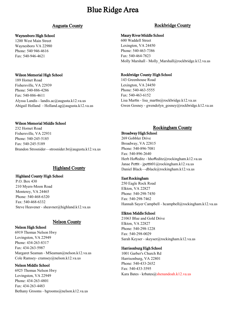### Blue Ridge Area

#### Waynesboro High School

1200 West Main Street Waynesboro VA 22980 Phone: 540 946‐4616 Fax: 540‐946‐4621

#### Wilson Memorial High School

189 Hornet Road Fishersville, VA 22939 Phone: 540‐886‐4286 Fax: 540‐886‐4611 Alyssa Landis - landis.ac@augusta.k12.va.us Abigail Holland ‐ Holland.ag@augusta.k12.va.us

#### Wilson Memorial Middle School

232 Hornet Road Fishersville, VA 22931 Phone: 540‐245‐5185 Fax: 540‐245‐5189 Brandon Strosnider—strosnider.br@augusta.k12.va.us

#### Highland County

#### Highland County High School

P.O. Box 430 210 Myers‐Moon Road Monterey, VA 24465 Phone: 540‐468‐6320 Fax: 540‐468‐6332 Steve Heavener - sheavner@highland.k12.va.us

#### Nelson County

Nelson High School 6919 Thomas Nelson Hwy Lovingston, VA 22949 Phone: 434‐263‐8317 Fax: 434‐263‐5987 Margaret Seaman - MSeaman@nelson.k12.va.us Cole Ramsey‐ cramsey@nelson.k12.va.us

#### Nelson Middle School

6925 Thomas Nelson Hwy Lovingston, VA 22949 Phone: 434‐263‐4801 Fax: 434‐263‐4483 Bethany Grooms ‐ bgrooms@nelson.k12.va.us

#### Augusta County **Rockbridge County**

#### Maury River Middle School

600 Waddell Street Lexington, VA 24450 Phone: 540‐463‐7386 Fax: 540‐464‐7823 Molly Marshall - Molly Marshall@rockbridge.k12.va.us

#### Rockbridge County High School

143 Greenhouse Road Lexington, VA 24450 Phone: 540‐463‐5555 Fax: 540‐463‐6152 Lisa Martin - lisa\_martin@rockbridge.k12.va.us Gwen Gosney - gwendolyn\_gosney@rockbridge.k12.va.us

#### Rockingham County

#### Broadway High School

269 Gobbler Drive Broadway, VA 22815 Phone: 540‐896‐7081 Fax: 540‐896‐2640 Herb Hoffeditz - hhoffeditz@rockingham.k12.va.us Janae Pettit - jpettit01@rockingham.k12.va.us Daniel Black—dblack@rockingham.k12.va.us

#### East Rockingham

250 Eagle Rock Road Elkton, VA 22827 Phone: 540‐298‐7450 Fax: 540‐298‐7462 Hannah Sayer Campbell - hcampbell@rockingham.k12.va.us

#### Elkton Middle School

21063 Blue and Gold Drive Elkton, VA 22827 Phone: 540‐298‐1228 Fax: 540‐298‐0029 Sarah Keyser ‐ skeyser@rockingham.k12.va.us

#### Harrisonburg High School

1001 Garber's Church Rd Harrisonburg, VA 22801 Phone: 540‐433‐2652 Fax: 540‐433‐3595 Kara Bates ‐ krbates@shenandoah.k12.va.us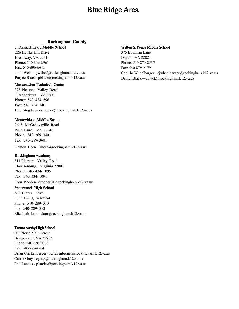### Blue Ridge Area

#### Rockingham County

#### J. Frank Hillyard Middle School

226 Hawks Hill Drive Broadway, VA 22815 Phone: 540‐896‐8961 Fax: 540‐896‐6641 John Welsh ‐ jwelsh@rockingham.k12.va.us Paryce Black‐ pblack@rockingham.k12.va.us

#### **Massanutten Technical Center**

325 Pleasant Valley Road Harrisonburg, VA 22801 Phone: 540‐ 434‐ 596 Fax: 540‐ 434‐ 140 Eric Stogdale‐ estogdale@rockingham.k12.va.us

#### Montevideo M**i**ddl e Schoo**l**

7648 McGaheysville Road Penn Laird, VA 22846 Phone: 540‐ 289‐ 3401 Fax: 540‐ 289‐ 3601

Kristen Horn- khorn@rockingham.k12.va.us

#### Rockingham Academy

311 Pleasant Valley Road Harrisonburg, Virginia 22801 Phone: 540‐ 434‐ 1095 Fax: 540‐ 434‐ 1091 Don Rhodes- drhodes01@rockingham.k12.va.us

#### Spotswood High School

368 Blazer Drive Penn Lair d, VA2284 Phone: 540‐ 289‐ 310 Fax: 540‐ 289‐ 330 Elizabeth Lam‐ elam@rockingham.k12.va.us

#### Turner Ashby High School

800 North Main Street Bridgewater, VA 22812 Phone: 540‐828‐2008 Fax: 540‐828‐4764 Brian Crickenberger ‐bcrickenberger@rockingham.k12.va.us Carrie Gray ‐ cgray@rockingham.k12.va.us Phil Landes - plandes@rockingham.k12.va.us

#### Wilbur S. Pence Middle School

375 Bowman Lane Dayton, VA 22821 Phone: 540‐879‐2535 Fax: 540‐879‐2179 Codi Jo Wheelbarger ‐ cjwheelbarger@rockingham.k12.va.us Daniel Black—dblack@rockingham.k12.va.us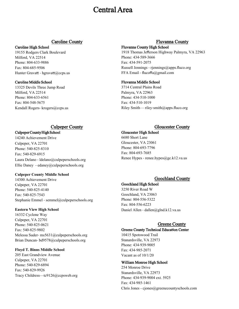### Central Area

#### Caroline County

#### <span id="page-12-0"></span>Caroline High School

19155 Rodgers Clark Boulevard Milford, VA 22514 Phone: 804‐633‐9886 Fax: 804‐685‐9506 Hunter Gravatt - hgravatt@ccps.us

#### Caroline Middle School

13325 Devils Three Jump Road Milford, VA 22514 Phone: 804‐633‐6561 Fax: 804‐548‐5675 Kendall Rogers- krogers@ccps.us

#### Culpeper County High School

14240 Achievement Drive Culpeper, VA 22701 Phone: 540‐825‐8310 Fax: 540‐829‐6915 Laura Delano ‐ ldelano@culpeperschools.org Ellie Daney ‐ edaney@culpeperschools.org

#### **Culpeper County Middle School**

14300 Achievement Drive Culpeper, VA 22701 Phone: 540‐825‐4140 Fax: 540‐825‐7543 Stephanie Emmel ‐ semmel@culpeperschools.org

#### **Eastern View High School**

16332 Cyclone Way Culpeper, VA 22701 Phone: 540‐825‐0621 Fax: 540‐825‐9802 Melessa Suder-ms5631@culpeperschools.org Brian Duncan‐ bd9578@culpeperschools.org

#### **Floyd T. Binns Middle School**

205 East Grandview Avenue Culpeper, VA 22701 Phone: 540‐829‐6894 Fax: 540‐829‐9926 Tracy Childress—tc9126@ccpsweb.org

#### Fluvanna County

#### Fluvanna County High School

1918 Thomas Jefferson Highway Palmyra, VA 22963 Phone: 434‐589‐3666 Fax: 434‐591‐2075 Russell Jennings - rjennings@apps.fluco.org FFA Email ‐ flucoffa@gmail.com

#### Fluvanna Middle School

3714 Central Plains Road Palmyra, VA 22963 Phone: 434‐510‐1000 Fax: 434‐510‐1019 Riley Smith— riley‐smith@apps.fluco.org

#### Culpeper County Gloucester County

#### Gloucester High School

6680 Short Lane Gloucester, VA 23061 Phone: 804‐693‐7796 Fax: 804‐693‐7685 Renee Hypes - renee.hypes@gc.k12.va.us

#### Goochland County

#### Goochland High School

3250 River Road W Goochland, VA 23063 Phone: 804‐556‐5322 Fax: 804‐556‐6223 Daniel Allen ‐ dallen@glnd.k12.va.us

#### Greene County

#### Greene County Technical Education Center

10415 Spotswood Trail Stanardsville, VA 22973 Phone: 434‐939‐9005 Fax: 434‐985‐2071 Vacant as of 10/1/20

#### William Monroe High School

254 Monroe Drive Stanardsville, VA 22973 Phone: 434‐939‐9004 ext. 5925 Fax: 434‐985‐1461 Chris Jones - cjones@greenecountyschools.com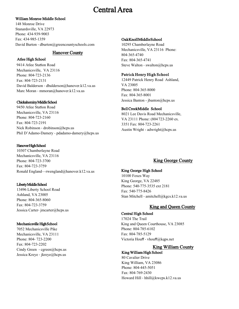### Central Area

#### William Monroe Middle School

148 Monroe Drive Stanardsville, VA 22973 Phone: 434‐939‐9003 Fax: 434‐985‐1359 David Burton - dburton@greencountyschools.com

#### Hanover County

#### Atlee High School

9414 Atlee Station Road Mechanicsville, VA 23116 Phone: 804‐723‐2136 Fax: 804‐723‐2131 David Balderson ‐ dbalderson@hanover.k12.va.us Marc Moran - mmoran@hanover.k12.va.us

#### Chickahominy Middle School

9450 Atlee Station Road Mechanicsville, VA 23116 Phone: 804‐723‐2160 Fax: 804‐723‐2191 Nick Robinson - drobinson@hcps.us Phil D'Adamo‐Damery ‐ pdadamo‐damery@hcps.us

#### Hanover High School

10307 Chamberlayne Road Mechanicsville, VA 23116 Phone: 804‐723‐3700 Fax: 804‐723‐3759 Ronald England—rwengland@hanover.k12.va.us

#### Liberty Middle School

13496 Liberty School Road Ashland, VA 23005 Phone: 804‐365‐8060 Fax: 804‐723‐3759 Jessica Carter‐ jmcarter@hcps.us

#### Mechanicsville High School

7052 Mechanicsville Pike Mechanicsville, VA 23111 Phone: 804‐ 723‐2200 Fax: 804‐723‐2202 Cindy Green - cgreen@hcps.us Jessica Kreye ‐ jkreye@hcps.us

#### Oak Knoll Middle School

10295 Chamberlayne Road Mechanicsville, VA 23116 Phone: 804‐365‐4740 Fax: 804‐365‐4741 Steve Walton - swalton@hcps.us

#### Patrick Henry High School

12449 Patrick Henry Road Ashland, VA 23005 Phone: 804‐365‐8000 Fax: 804‐365‐8001 Jessica Banton - jbanton@hcps.us

#### Bell CreekMiddle School

8021 Lee Davis Road Mechanicsville, VA 23111 Phone: (804 723‐2260 ex. 3351 Fax: 804‐723‐2261 Austin Wright - adwright@hcps.us

#### King George County

#### King George High School

10100 Foxes Way King George, VA 22485 Phone: 540‐775‐3535 ext 2181 Fax: 540‐775‐8426 Stan Mitchell - amitchell@kgcs.k12.va.us

#### King and Queen County

#### Central High School

17024 The Trail King and Queen Courthouse, VA 23085 Phone: 804‐785‐6102 Fax: 804‐785‐5129 Victoria Houff ‐ vhouff@kqps.net

#### King William County

#### King William High School

80 Cavalier Drive King William, VA 23086 Phone: 804‐445-5051 Fax: 804‐769‐2430 Howard Hill - hhill@kwcps.k12.va.us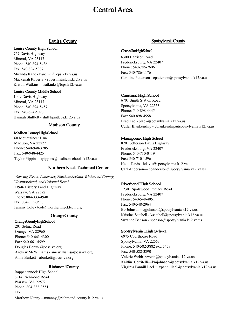### Central Area

#### Louisa County

#### Louisa County High School

757 Davis Highway Mineral, VA 23117 Phone: 540‐894‐5436 Fax: 540‐894‐5087 Miranda Kane - kanemh@lcps.k12.va.us Mackenah Roberts ‐ robertms@lcps.k12.va.us Kristin Watkins—watkinks@lcps.k12.va.us

#### Louisa County Middle School

1009 Davis Highway Mineral, VA 23117 Phone: 540‐894‐5457 Fax: 540‐894‐5096 Hannah Shifflett - shifflhp@lcps.k12.va.us

#### Madison County

#### Madison County High School

68 Mountaineer Lane Madison, VA 22727 Phone: 540‐948‐3785 Fax: 540‐948‐4425 Taylor Pippins—tpippins@madisonschools.k12.va.us

#### Northern Neck Technical Center

(Serving Essex, Lancaster, Northumberland, Richmond County, Westmoreland, and Colonial Beach 13946 History Land Highway Warsaw, VA 22572 Phone: 804‐333‐4940 Fax: 804‐333‐0538 Tammy Cole ‐ tcole@northernnecktech.org

#### OrangeCounty

#### OrangeCountyHighSchool

201 Selma Road Orange, VA 22960 Phone: 540‐661‐4300 Fax: 540‐661‐4599 Douglas Berry- @ocss‐va.org Andrew McWilliams - amcwilliams@ocss-va.org Anna Burkett - aburkett@ocss-va.org

#### RichmondCounty

Rappahannock High School 6914 Richmond Road Warsaw, VA 22572 Phone: 804‐333‐3551 Fax: Matthew Nanny—mnanny@richmond-county.k12.va.us

#### Spotsylvania County

#### ChancellorHighSchool

6300 Harrison Road Fredericksburg, VA 22407 Phone: 540‐786‐2606 Fax: 540‐786‐1176 Caroline Patterson - cpatterson@spotsylvania.k12.va.us

#### Courtland High School

6701 Smith StaƟon Road Spotsylvania, VA 22553 Phone: 540‐898‐4445 Fax: 540‐898‐4558 Brad Lael‐ blael@spotsylvania.k12.va.us Cutler Blankenship - cblankenship@spotsylvania.k12.va.us

#### Massaponax High School

8201 Jefferson Davis Highway Fredericksburg, VA 22407 Phone: 540‐710‐0419 Fax: 540‐710‐1596 Heidi Davis ‐ hdavis@spotsylvania.k12.va.us Carl Anderson— coanderson@spotsylvania.k12.va.us

#### Riverbend High School

12301 Spotswood Furnace Road Fredericksburg, VA 22407 Phone: 540‐548‐4051 Fax: 540‐548‐2964 Bo Johnson ‐ cgjohnson@spotsylvania.k12.va.us Kristina Satchell - ksatchell@spotsylvania.k12.va.us Suzanne Benson - sbenson@spotsylvania.k12.va.us

#### Spotsylvania High School

6975 Courthouse Road Spotsylvania, VA 22553 Phone: 540‐582‐3882 ext. 5458 Fax: 540‐582‐3890 Valerie Webb‐ vwebb@spotsylvania.k12.va.us Kaitlin Cerritelli—kmjohnson@spotsylvania.k12.va.us Virginia Pannill Lael‐ vpannilllael@spotsylvania.k12.va.us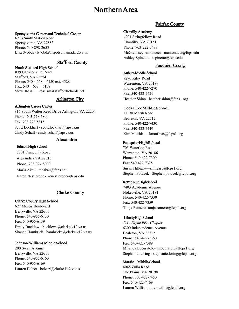### Northern Area

#### <span id="page-15-0"></span>Spotsylvania Career and Technical Center

6713 Smith Station Road Spotsylvania, VA 22553 Phone: 540-898-2655 Lisa Svobda- lsvobda@spotsylvania.k12.va.us

#### Stafford County

#### North Stafford High School

839 Garrisonville Road Stafford, VA 22554 Phone: 540 - 658 - 6150 ext. 4528 Fax: 540‐658‐6158 Steve Rossi ‐ rossism@staffordschools.net

#### Arlington City

#### Arlington Career Center

816 South Walter Reed Drive Arlington, VA 22204 Phone: 703‐228‐5800 Fax: 703‐228‐5815 Scott Lockhart - scott.lockhart@apsva.us Cindy Schall - cindy.schall@apsva.us

#### Alexandria

#### Edison High School

5801 Franconia Road Alexandria VA 22310 Phone: 703‐924‐8000 Marla Akau ‐ maakau@fcps.edu Karen Nestlerode - kenestlerode@fcps.edu

#### Clarke County

#### Clarke County High School

627 Mosby Boulevard Berryville, VA 22611 Phone: 540‐955‐6130 Fax: 540‐955‐6139 Emily Bucklew ‐ bucklewe@clarke.k12.va.us Shanan Hambrick ‐ hambricks@clarke.k12.va.us

#### Johnson**‐**Williams Middle School

200 Swan Avenue Berryville. VA 22611 Phone: 540‐955‐6160 Fax: 540‐955‐6169 Lauren Belzer– belzerl@clarke.k12.va.us

#### Fairfax County

#### Chantilly Academy

4201 Stringfellow Road Chantilly, VA 20151 Phone: 703-222-7488 McGlennsey Antonucci - mantonucci@fcps.edu Ashley Spinetto - aspinetto@fcps.edu

#### Fauquier County

Auburn Middle School 7270 Riley Road Warrenton, VA 20187 Phone: 540‐422‐7270 Fax: 540‐422-7429 Heather Shinn - heather.shinn@fcps1.org

#### Cedar Lee Middle School

11138 Marsh Road Bealeton, VA 22712 Phone: 540‐422‐7430 Fax: 540‐422‐7449 Kim Matthias – kmatthias  $@$ fcps1.org

#### FauquierHigh School

705 Waterloo Road Warrenton, VA 20186 Phone: 540‐422‐7300 Fax: 540‐422‐7325 Susan Hilleary—shilleary@fcps1.org Stephen Potucek– Stephen.potucek@fcps1.org

#### Kettle RunHighSchool

7403 Academic Avenue Nokesville, VA 20181 Phone: 540‐422‐7330 Fax: 540‐422‐7359 Tonja Romero‐ tonja.romero@fcps1.org

#### LibertyHighSchool

C.L. Payne FFA Chapter 6300 Independence Avenue Bealeton, VA 22712 Phone: 540‐422‐7360 Fax: 540‐422‐7389 Miranda Locuratolo- mlocuratolo@fcps1.org Stephanie Loring ‐ stephanie.loring@fcps1.org

#### Marshall Middle School

4048 Zulla Road The Plains, VA 20198 Phone: 703‐422‐7450 Fax: 540‐422‐7469 Lauren Willis ‐ lauren.willis@fcps1.org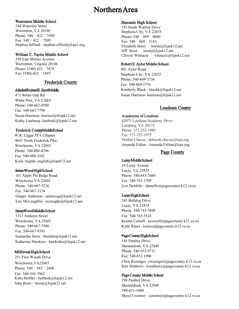### Northern Area

#### Warrenton Middle School

244 Waterloo Street Warrenton, VA 20186 Phone: 540 - 422 - 7490 Fax: 540‐422‐7509 Stephen Sifford - stephen.sifford@fcps1.org

#### William C. Taylor Middle School

350 East Shirley Avenue Warrenton, Virginia 20186 Phone: (540) 422 - 7470 Fax: (540) 422 - 7489

#### Frederick County

#### AdmiralRichardE. ByrdMiddle

471 White Oak Rd White Post, VA 22663 Phone: 540‐662‐0500 Fax: 540‐662‐7790 Susan Harrison‐ harrisos@fcspk12.net Kathy Lineburg‐ lineburk@fcpsk12.net

#### Frederick CountyMiddleSchool

W.R. Legge FFA Chapter 4661 North Frederick Pike Winchester, VA 22603 Phone: 540‐888‐4296 Fax: 540‐888‐3101 Kaila Anglin‐ anglink@fcpsk12.net

#### James Wood High School

161 Apple Pie Ridge Road Winchester VA 22603 Phone: 540‐667‐5226 Fax: 540‐667‐3154 Ginger Anderson - andersog@fcpsk12.net Eric McLaughlin ‐ mclaughe@fcpsk12.net

#### JamesWood MiddleSchool

1313 Amherst Street Winchester, VA 22601 Phone: 540‐667‐7500 Fax: 540‐667‐9391 Samantha Stern ‐ SternSa@fcpsk12.net Katherine Hawkins ‐ hawkinka@fcpsk12.net

#### Millbrook High School

251 First Woods Drive Winchester,VA22603 Phone: 540 - 545 - 2800 Fax: 540‐545‐7962 Katie Bethke - bethkek@fcpsk12.net John Borst – borstj@fcpsk12.net

#### Sherando High School

185 South Warrior Drive Stephens City, VA 22655 Phone: 540 - 869 - 0060 Fax: 540‐869‐5183 Elizabeth Borst – borste@fcpsk12.net Jeff Stout ‐ stoutj@fcpsk12.net Chrissy Whitacre – whitacrc@fcpsk12.net

#### Robert E. Aylor Middle School

901 Aylor Road Stephens City, VA 22655 Phone: 540‐869‐3736 Fax: 540‐869‐2756 Kimberly Black ‐ blackk@fcpsk12.net Susan Harrison‐ harrisos@fcpsk12.net

#### Loudoun County

#### Academies of Loudoun

42075 Loudoun Academy Drive Leesburg, VA 20175 Phone: 571‐252‐1980 Fax: 571‐252‐1975 Debbie Chaves ‐ deborah.chaves@lcps.org Amanda Fallon ‐ Amanda.Fallon@lcps.org

#### Page County

#### Luray Middle School

14 Luray Avenue Luray, VA 22835 Phone: 540‐843‐2660 Fax: 540‐743‐1709 Lori DeMille - ldemille@pagecounty.k12.va.us

#### Luray High School

243 Bulldog Drive Luray, VA 22835 Phone: 540‐743‐3800 Fax: 540‐743‐5524 Kristin Cornell - kcornell@pagecounty.k12.va.us Katie Rines - krines@pagecounty.k12.va.us

#### Page County High School

184 Panther Drive Shenandoah, VA 22849 Phone: 540‐652‐8712 Fax: 540‐652‐1996 Chris Reisinger -creisinger@pagecounty.k12.va.us Ken Mathews - kmathews@pagecounty.k12.va.us

#### Page County Middle School

198 Panther Drive Shenandoah, VA 22849 540-653-3400 Shaye Creamer - screamer@pagecounty.k12.va.us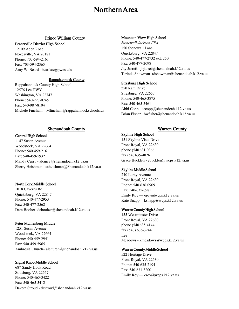### Northern Area

#### Prince William County

#### Brentsville District High School

12109 Aden Road Nokesville, VA 20181 Phone: 703‐594‐2161 Fax: 703‐594‐2365 Amy W. Beard– beardax@pwcs.edu

#### Rappahannock County

Rappahannock County High School 12576 Lee HWY Washington, VA 22747 Phone: 540‐227‐0745 Fax: 540‐987‐8104 Michele Fincham—Mfincham@rappahannockschools.us

#### Shenandoah County Warren County

#### Central High School

1147 Susan Avenue Woodstock, VA 22664 Phone: 540‐459‐2161 Fax: 540‐459‐5932 Mandy Curry - alcurry@shenandoah.k12.va.us Sherry Heishman ‐ saheishman@Shenandoah.k12.va.us

#### North Fork Middle School

1018 Caverns Rd. Quicksburg, VA 22847 Phone: 540‐477‐2953 Fax: 540‐477‐2562 Dara Booher‐ debooher@shenandoah.k12.va.us

#### Peter Muhlenberg Middle

1251 Susan Avenue Woodstock, VA 22664 Phone: 540‐459‐2941 Fax: 540‐459‐5965 Ambrosia Church– alchurch@shenandoah.k12.va.us

#### Signal Knob Middle School

687 Sandy Hook Road Strasburg, VA 22657 Phone: 540‐465‐3422 Fax: 540‐465‐5412 Dakota Stroud - drstroud@shenandoah.k12.va.us

#### Mountain View High School

*Stonewall Jackson FFA* 150 Stonewall Lane Quicksburg, VA 22847 Phone: 540‐477‐2732 ext. 250 Fax: 540‐477‐2098 Jay Jarrett - jbjarret@shenandoah.k12.va.us Tarinda Showman‐ tdshowman@shenandoah.k12.va.us

#### Strasburg High School

250 Ram Drive Strasburg, VA 22657 Phone: 540‐465‐3875 Fax: 540‐465‐5461 Abbi Copp ‐ aecopp@shenandoah.k12.va.us Brian Fisher ‐ bwfisher@shenandoah.k12.va.us

Skyline High School 151 Skyline Vista Drive Front Royal, VA 22630 phone (540 631‐0366 fax (540 635‐4026 Grace Bucklen ‐ ebucklen@wcps.k12.va.us

#### Skyline Middle School

240 Luray Avenue Front Royal, VA 22630 Phone: 540‐636‐0909 Fax: 540‐635‐6981 Emily Roy — eroy@wcps.k12.va.us Kate Snapp -- ksnapp@wcps.k12.va.us

#### Warren County High School

155 Westminster Drive Front Royal, VA 22630 phone (540 635‐4144 fax (540) 636‐3244 Lee Meadows ‐ kmeadows@wcps.k12.va.us

#### Warren County Middle School

522 Heritage Drive Front Royal, VA 22630 Phone: 540‐635‐2194 Fax: 540‐631‐3200 Emily Roy — eroy@wcps.k12.va.us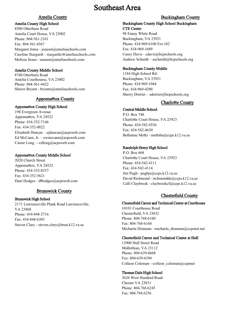#### Amelia County

#### <span id="page-18-0"></span>Amelia County High School

8500 Otterburn Road Amelia Court House, VA 23002 Phone: 804‐561‐2101 Fax: 804‐561‐4567 Margaret Jones - jonesm@ameliaschools.com Caroline Stargardt - stargardtc@ameliaschools.com Melissa Sease ‐ seasem@ameliaschools.com

#### Amelia County Middle School

8740 Otterburn Road Amelia Courthourse, VA 23002 Phone: 804-561-4422 Shawn Bryant - bryants@ameliaschools.com

#### **Appomattox County**

#### Appomattox County High School

198 Evergreen Avenue Appomattox, VA 24522 Phone: 434‐352‐7146 Fax: 434‐352‐0822 Elizabeth Duncan – ejduncan@acpsweb.com Ed McCann, Jr. – ewmccann@acpsweb.com Cassie Long —cdlong@acpsweb.com

#### Appomattox County Middle School

2020 Church Street Appomattox, VA 24522 Phone: 434‐352‐8257 Fax: 434‐352‐5621 Dani Hodges - dfhodges@acpsweb.com

#### Brunswick County

#### Brunswick High School

2171 Lawrenceville Plank Road Lawrenceville, VA 23868 Phone: 434‐848‐2716 Fax: 434‐848‐6303 Steven Clary - steven.clary@brun.k12.va.us

#### Buckingham County

#### Buckingham County High School Buckingham CTE Center

98 Fanny White Road Buckingham, VA 23921 Phone: 434‐969‐6100 Ext 102 Fax: 434‐969‐1689 Casey Davis ‐ cdavis@bcpschools.org Andrew Schmitt - aschmitt@bcpschools.org

#### Buckingham County Middle

1184 High School Rd. Buckingham, VA 23921 Phone: 434‐969‐1044 Fax: 434‐969‐4290 Sherry Dorrier – sdorrier@bcpschools.org

#### **Charlotte County**

#### Central Middle School

P.O. Box 748 CharloƩe Court House, VA 23923 Phone: 434‐542‐4536 Fax: 434‐542‐4630 Bethanne Metts - mettsba@ccps.k12.va.us

#### Randolph Henry High School

P.O. Box 668 Charlotte Court House, VA 23923 Phone: 434‐542‐4111 Fax: 434‐542‐4114 Jim Pugh ‐ pughjs@ccps.k12.va.us David Richmond ‐ richmondde@ccps.k12.va.us Calli Claybrook ‐ claybrookcf@ccps.k12.va.us

#### Chesterfield County

#### Chesterfield Career and Technical Center at Courthouse

10101 Courthouse Road Chesterfield, VA 23832 Phone: 804‐768‐6160 Fax: 804‐768‐6164 Michaela Dismann ‐ michaela\_dismann@ccpsnet.net

#### Chesterfield Career and Technical Center at Hull

13900 Hull Street Road Midlothian, VA 23112 Phone: 804‐639‐8668 Fax: 804‐639‐6394 Colleen Coleman—colleen\_coleman@ccpsnet

#### Thomas Dale High School

3626 West Hundred Road Chester VA 23831 Phone: 804.768.6245 Fax: 804.768.6256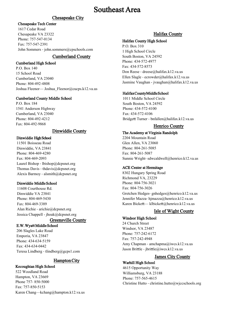#### Chesapeake City

#### Chesapeake Tech Center

1617 Cedar Road Chesapeake VA 23322 Phone: 757‐547‐0134 Fax: 757‐547‐2391 John Sommers ‐ john.sommers@cpschools.com

#### Cumberland County

#### Cumberland High School

P.O. Box 140 15 School Road Cumberland, VA 23040 Phone: 804‐492‐4808 Joshua Fleenor— Joshua Fleenor@cucps.k12.va.us

#### Cumberland County Middle School

P.O. Box 184 1541 Anderson Highway Cumberland, VA 23040 Phone: 804‐492‐4212 Fax: 804‐492‐9868

#### Dinwiddie County

#### Dinwiddie High School

11501 Boisseau Road Dinwiddie, VA 23841 Phone: 804‐469‐4280 Fax: 804‐469‐2093 Laurel Bishop - lbishop@dcpsnet.org Thomas Davis ‐ thdavis@dcpsnet.org Alexis Barmoy ‐ alsmith@dcpsnet.org

#### Dinwiddie Middle School

11608 Courthouse Rd. Dinwiddie VA 23841 Phone: 804‐469‐5430 Fax: 804‐469‐3389 Alan Richie ‐ arichie@dcpsnet.org Jessica Chappell - jhoak@dcpsnet.org

#### Greensville County

#### E.W. Wya**Ʃ** Middle School

206 Slagles Lake Road Emporia, VA 23847 Phone: 434‐634‐5159 Fax: 434‐634‐0442 Teresa Lindberg ‐ tlindberg@gcps1.com

#### Hampton City

#### Kecoughtan High School

522 Woodland Road Hampton, VA 23669 Phone 757‐ 850‐5000 Fax: 757‐850‐5153 Karen Chang—kchang@hampton.k12.va.us

#### Halifax County

#### Halifax County High School

P.O. Box 310 1 High School Circle South Boston, VA 24592 Phone: 434‐572‐4977 Fax: 434‐572‐8573 Don Reese ‐ dreese@halifax.k12.va.us Ellen Slagle ‐ ecrowder@halifax.k12.va.us Jasmine Vaughan - jvaughan@halifax.k12.va.us

#### Halifax County Middle School

1011 Middle School Circle South Boston, VA 24592 Phone: 434‐572‐4100 Fax: 434‐572‐4106 BridgeƩ Turner ‐ bnfallen@halifax.k12.va.us

#### Henrico County

#### The Academy at Virginia Randolph

2204 Mountain Road Glen Allen, VA 23060 Phone: 804‐261‐5085 Fax: 804‐261‐5087 Sunnie Wright‐ sdwcaldwell@henrico.k12.va.us

#### ACE Center at Hermitage

8302 Hungary Spring Road Richmond VA, 23229 Phone: 804‐756‐3021 Fax: 804‐756‐3026 Gretchen Hedges- gnhedges@henrico.k12.va.us Jennifer Mazza-hjmazza@henrico.k12.va.us Karen Bickett— klbickett@henrico.k12.va.us

#### Isle of Wight County

#### Windsor High School

24 Church Street Windsor, VA 23487 Phone: 757‐242‐6172 Fax: 757‐242‐4948 Amy Chapman ‐ amchapma@iwcs.k12.va.us Jason Brittle - jbrittle@iwcs.k12.va.us

#### James City County

Warhill High School 4615 Opportunity Way Williamsburg, VA 23188 Phone: 757-565-4615 Christine Hutto ‐ christine.hutto@wjccschools.org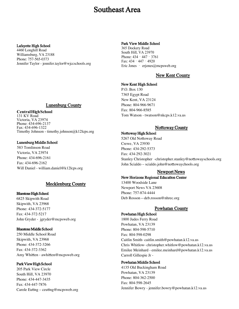#### Lafayette High School

4460 Longhill Road Williamsburg, VA 23188 Phone: 757-565-0373 Jennifer Taylor - jennifer.taylor@wjccschools.org

#### Lunenburg County

#### **CentralHighSchool**

131 KV Road Victoria, VA 23974 Phone: 434‐696‐2137 Fax: 434‐696‐1322 Timothy Johnson - timothy.johnson@k12lcps.org

#### Lunenburg Middle School

583 Tomlinson Road Victoria, VA 23974 Phone: 434‐696‐2161 Fax: 434‐696‐2162 Will Daniel ‐ william.daniel@k12lcps.org

#### Mecklenburg County

#### Bluestone High School

6825 Skipwith Road Skipwith, VA 23968 Phone: 434‐372‐5177 Fax: 434‐372‐5217 John Gryder ‐ jgryder@mcpsweb.org

#### Bluestone Middle School

250 Middle School Road Skipwith, VA 23968 Phone: 434‐372‐3266 Fax: 434‐372‐3362 Amy Whitten - awhitten@mcpsweb.org

#### Park View High School

205 Park View Circle South Hill, VA 23970 Phone: 434‐447‐3435 Fax: 434‐447‐7876 Carole Euting – ceuting@mcpsweb.org

#### Park View Middle School

365 Dockery Road South Hill, VA 23970 Phone: 434 - 447 - 3761 Fax: 434‐447‐4920 Eric Jones – erjones@mcpsweb.org

#### New Kent County

#### New Kent High School

P.O. Box 130 7365 Egypt Road New Kent, VA 23124 Phone: 804‐966‐9671 Fax: 804‐966‐8585 Tom Watson ‐ twatson@nkcps.k12.va.us

#### **Nottoway County**

Nottoway High School 5267 Old Nottoway Road Crewe, VA 23930 Phone: 434‐292‐5373 Fax: 434‐292‐3021 Stanley Christopher -christopher.stanley@nottowayschools.org John Scialdo – scialdo.john@nottowaychools.org

#### Newport News

#### New Horizons Regional Education Center

13400 Woodside Lane Newport News VA 23608 Phone: 757‐874‐4444 Deb Rosson—deb.rosson@nhrec.org

#### Powhatan County

Powhatan High School 1800 Judes Ferry Road Powhatan, VA 23139 Phone: 804‐598‐5710 Fax: 804‐598‐0298 Caitlin Smith‐ caitlin.smith@powhatan.k12.va.us Chris Whitlow‐ christopher.whitlow@powhatan.k12.va.us Emilee Meinhard ‐ emilee.meinhard@powhatan.k12.va.us Carroll Gillespie Jr ‐

#### Powhatan Middle School

4135 Old Buckingham Road Powhatan, VA 23139 Phone: 804‐362‐2500 Fax: 804‐598‐2645 Jennifer Bowry ‐ jennifer.bowry@powhatan.k12.va.us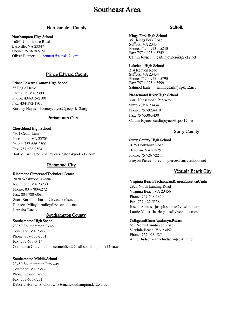#### Northampton County

#### Northampton High School

16041 Courthouse Road Eastville, VA 23347 Phone: 757‐678.5151 Oliver Bennett — obennett@ncpsk12.com

#### Prince Edward County

Prince Edward County High School 35 Eagle Drive Farmville, VA 23901 Phone: 434‐315‐2100 Fax: 434‐392‐1901 Kortney Hayes – kortney.hayes@pecps.k12.org

#### Portsmouth City

#### Churchland High School

4301 Cedar Lane Portsmouth VA 23703 Phone: 757‐686‐2500 Fax: 757‐686‐2504 Bailey Carrington ‐ bailey.carrington@portsk12.com

#### Richmond City

#### Richmond Career and Technical Center

2020 Westwood Avenue Richmond, VA 23230 Phone: 804‐780‐6272 Fax: 804‐780‐6061 Scott Burrell - sburrell@rvaschools.net Rebecca Miley—rmiley@rvaschools.net Latrisha Tate -

#### Southampton County

#### Southampton High School

23350 Southampton Pkwy Courtland, VA 23837 Phone: 757‐653‐2751 Fax: 757‐653‐0414 Cormanica Crutchfield— ccrutchfield@mail.southampton.k12.va.us

#### Southampton Middle School

23450 Southampton Parkway Courtland, VA 23837 Phone: 757‐653‐9250 Fax: 757‐653‐7251 Deborra Horowitz‐ dhorowitz@mail.southampton.k12.va.us

#### Su**ff**olk

#### Kings Fork High School

351 Kings Fork Road Suffolk, VA 23434 Phone: 757 - 923 - 5240 Fax: 757‐923‐5242 Caitlin Joyner ‐ caitlinjoyner@spsk12.net

#### Lakeland High School

214 Kenyon Road Suffolk, VA 23434 Phone: 757 - 925 - 5790 Fax: 757‐925‐5599 Sahmod Earls – sahmodearls@spsk12.net

#### Nansemond River High School

3301 Nansemond Parkway Suffolk, VA 23434 Phone: 757‐923‐4101 Fax: 757‐538‐5430 Caitlin Joyner‐ caitlinjoyner@spsk12.net

#### Surry County

#### Surry County High School

1675 Hollybush Road Dendron, VA 23839 Phone: 757‐267‐2211 Breyon Pierce ‐ breyon\_pierce@surryschools.net

#### Virginia Beach City

#### Virginia Beach Technicaland Career Education Center

2925 North Landing Road Virginia Beach VA 23456 Phone: 757‐648‐5850 Fax: 757‐427‐5558 Joseph Santos ‐ joseph.santos@vbschool.com Laurie Yates ‐ laurie.yates@vbschools.com

#### College and Career Academy at Pruden

653 North Lynnhaven Road Virginia Beach, VA 23452 Phone: 757-923-5254 Anne Hudson - annehudson@spsk12.net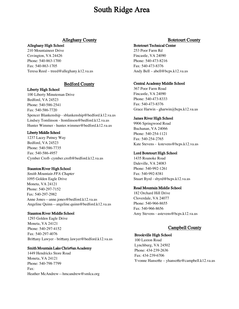#### Alleghany County

#### <span id="page-22-0"></span>Alleghany High School

210 Mountaineer Drive Covington, VA 24426 Phone: 540‐863‐1700 Fax: 540‐863‐1705 Teresa Reed – treed@alleghany.k12.va.us

#### Bedford County

Liberty High School 100 Liberty Minuteman Drive Bedford, VA 24523 Phone: 540‐586‐2541 Fax: 540‐586‐7720 Spencer Blankenship ‐ sblankenship@bedford.k12.va.us Lindsey Tomlinson ‐ ltomlinson@bedford.k12.va.us Hunter Wimmer ‐ hunter.wimmer@bedford.k12.va.us

#### Liberty Middle School

1237 Lacey Putney Way Bedford, VA 24523 Phone: 540‐586‐7735 Fax: 540‐586‐4957 Cymber Croft‐ cymber.croft@bedford.k12.va.us

#### Staunton River High School

Smith Mountain FFA Chapter 1095 Golden Eagle Drive Moneta, VA 24121 Phone: 540‐297‐7152 Fax: 540‐297‐2982 Anne Jones—anne.jones@bedford.k12.va.us Angeline Quinn—angeline.quinn@bedford.k12.va.us

#### Staunton River Middle School

1293 Golden Eagle Drive Moneta, VA 24121 Phone: 540‐297‐4152 Fax: 540‐297‐4076 Brittany Lawyer - brittany.lawyer@bedford.k12.va.us

#### **Smith Mountain Lake Christian Academy**

1449 Hendricks Store Road Moneta, VA 24121 Phone: 540‐798‐7799 Fax: Heather McAndrew—hmcandrew@smlca.org

#### Botetourt County

#### Botetourt Technical Center

253 Poor Farm Rd Fincastle, VA 24090 Phone: 540‐473‐8216 Fax: 540‐473‐8376 Andy Bell – abell@bcps.k12.va.us

#### Central Academy Middle School

367 Poor Farm Road Fincastle, VA 24090 Phone: 540‐473‐8333 Fax: 540‐473‐8376 Grace Harwin - gharwin@bcps.k12.va.us

#### James River High School

9906 Springwood Road Buchanan, VA 24066 Phone: 540‐254‐1121 Fax: 540‐254‐2765 Kate Stevens ‐ kstevens@bcps.k12.va.us

#### Lord Botetourt High School

1435 Roanoke Road Daleville, VA 24083 Phone: 540‐992‐1261 Fax: 540‐992‐8381 Stuart Byrd ‐ sbyrd@bcps.k12.va.us

#### Read Mountain Middle School

182 Orchard Hill Drive Cloverdale, VA 24077 Phone: 540‐966‐8655 Fax: 540‐966‐8656 Amy Stevens ‐ astevens@bcps.k12.va.us

#### Campbell County

#### Brookville High School

100 Laxton Road Lynchburg, VA 24502 Phone: 434‐239‐2636 Fax: 434‐239‐6706 Yvonne Hansotte – yhansotte@campbell.k12.va.us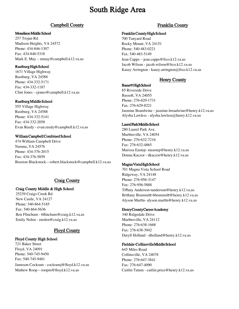#### **Campbell County Franklin County**

#### Monelison Middle School

257 Trojan Rd. Madison Heights, VA 24572 Phone: 434‐846‐1307 Fax: 434‐846‐5318 Mark E. May – mmay@campbell.k12.va.us

#### Rustburg High School

1671 Village Highway Rustburg, VA 24588 Phone: 434‐332‐5171 Fax: 434‐332‐1187 Clint Jones ‐ cjones@campbell.k12.va.us

#### Rustburg Middle School

555 Village Highway Rustburg, VA 24588 Phone: 434‐332‐5141 Fax: 434‐332‐2058 Evan Reedy ‐ evan.reedy@campbell.k12.va.us

#### William Campbell Combined School

474 William Campbell Drive Naruna, VA 24576 Phone: 434‐376‐2015 Fax: 434‐376‐5859 Braxton Blackstock—robert.blackstock@campbell.k12.va.us

#### Craig County

#### Craig County Middle & High School

25239 Craigs Creek Rd New Castle, VA 24127 Phone: 540‐864‐5185 Fax: 540‐864‐5636 Ben Flinchum ‐ bflinchum@craig.k12.va.us Emily Nolen - enolen@craig.k12.va.us

#### Floyd County

#### Floyd County High School

721 Baker Street Floyd, VA 24091 Phone: 540‐745‐9450 Fax: 540‐745‐9481 Jameson Cockram ‐ cockramj@floyd.k12.va.us Mathew Roop—roopm@floyd.k12.va.us

#### Franklin County High School

700 Tanyard Road Rocky Mount, VA 24151 Phone: 540‐483‐0221 Fax: 540‐483‐5149 Jean Capps – jean.capps@frco.k12.va.us Jacob Wilson - jacob.wilson@frco.k12.va.us Kasey Arrington - kasey.arrington@frco.k12.va.us

#### Henry County

Basse**Ʃ** High School 85 Riverside Drive Bassett, VA 24055 Phone: 276‐629‐1731 Fax: 276‐629‐8221 Jasmine Boardwine ‐ jasmine.broadwine@henry.k12.va.us Alysha Lawless - alysha.lawless@henry.k12.va.us

#### Laurel Park Middle School

280 Laurel Park Ave. Martinsville, VA 24054 Phone: 276‐632‐7216 Fax: 276‐632‐4865 Marissa Eastep‐ meastep@henry.k12.va.us Donna Kaczor ‐ dkaczor@henry.k12.va.us

#### Magna Vista High School

701 Magna Vista School Road Ridgeway, VA 24148 Phone: 276‐956‐3147 Fax: 276‐956‐5888 Tiffany Anderson‐tanderson@henry.k12.va.us Brittany Brummitt-bbrummitt@henry.k12.va.us Alyson Martin- alyson.martin@henry.k12.va.us

#### Henry County Career Academy

340 Ridgedale Drive Martinsville, VA 24112 Phone: 276‐638‐1668 Fax: 276‐638‐3942 Daryll Holland ‐ dholland@henry.k12.va.us

#### Fieldale**‐**Collinsville Middle School

645 Miles Road Collinsville, VA 24078 Phone: 276‐647‐3841 Fax: 276‐647‐4090 Caitlin Tatum ‐ caitlin.price@henry.k12.va.us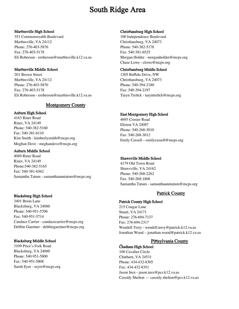#### Martinsville High School

351 Commonwealth Boulevard Martinsville, VA 24112 Phone: 276‐403‐5876 Fax: 276‐403‐5178 Eli Roberson - eroberson@martinsville.k12.va.us

#### Martinsville Middle School

201 Brown Street Martinsville, VA 24112 Phone: 276‐403‐5870 Fax: 276‐403‐5178 Eli Roberson - eroberson@martinsville.k12.va.us

#### Montgomery County

#### Auburn High School

4163 Riner Road Riner, VA 24149 Phone: 540‐382‐5160 Fax: 540‐381‐6110 Kim Smith ‐ kimberlysmith@mcps.org Meghan Dove ‐ meghandove@mcps.org

#### Auburn Middle School

4069 Riner Road Riner, VA 24149 Phone:540‐382‐5165 Fax: 540‐381‐6562 Samantha Tatum - samanthaanntatum@mcps.org

#### Blacksburg High School

3401 Bruin Lane Blacksburg, VA 24060 Phone: 540‐951‐5706 Fax: 540‐951‐5714 Candace Carrier ‐ candacecarrier@mcps.org Debbie Gaertner ‐ debbiegaertner@mcps.org

#### Blacksburg Middle School

3109 Price's Fork Road Blacksburg, VA 24060 Phone: 540‐951‐5800 Fax: 540‐951‐5808 Sarah Eyre ‐ seyre@mcps.org

#### Chris**Ɵ**ansburg High School

100 Independence Boulevard Christiansburg, VA 24073 Phone: 540‐382‐5178 Fax: 540‐381‐6525 Morgan Holder ‐ morganholder@mcps.org Chase Lowe ‐ clowe@mcps.org

#### Christiansburg Middle School

1205 Buffalo Drive, NW Christiansburg, VA 24073 Phone: 540‐394‐2180 Fax: 540‐394‐2197 Taryn Tretick - taryntretick@mcps.org

#### East Montgomery High School

4695 Crosier Road Eliston VA 24087 Phone: 540‐268‐3010 Fax: 540‐268‐3012 Emily Cassell—emilycassell@mcps.org

#### Shawsville Middle School

4179 Old Town Road Shawsville, VA 24162 Phone: 540‐268‐2262 Fax: 540‐268‐1868 Samantha Tatum - samanthaanntatum@mcps.org

#### Patrick County

#### Patrick County High School

215 Cougar Lane Stuart, VA 24171 Phone: 276‐694‐7137 Fax: 276‐694‐2317 Wendell Terry ‐ wendell.terry@patrick.k12.va.us Jonathan Wood – jonathan.wood@patrick.k12.va.us

#### Pittsylvania County

#### Chatham High School

100 Cavalier Circle Chatham, VA 24531 Phone: 434‐432‐8305 Fax: 434‐432‐8351 Jason Ince ‐ jason.ince@pcs.k12.va.us Cassidy Shelton — cassidy.shelton@pcs.k12.va.us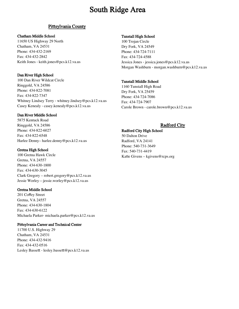#### **Pittsylvania County**

#### Chatham Middle School

11650 US Highway 29 North Chatham, VA 24531 Phone: 434‐432‐2169 Fax: 434‐432‐2842 Keith Jones ‐ keith.jones@pcs.k12.va.us

#### Dan River High School

100 Dan River Wildcat Circle Ringgold, VA 24586 Phone: 434‐822‐7081 Fax: 434‐822‐7347 Whitney Lindsey Terry ‐ whitney.lindsey@pcs.k12.va.us Casey Kenealy ‐ casey.kenealy@pcs.k12.va.us

#### Dan River Middle School

5875 Kentuck Road Ringgold, VA 24586 Phone: 434‐822‐6027 Fax: 434‐822‐6548 Harlee Denny– harlee.denny@pcs.k12.va.us

#### Gretna High School

100 Gretna Hawk Circle Gretna, VA 24557 Phone: 434‐630‐1800 Fax: 434‐630‐3045 Clark Gregory – robert.gregory@pcs.k12.va.us Jessie Worley—jessie.worley@pcs.k12.va.us

#### Gretna Middle School

201 Coffey Street Gretna, VA 24557 Phone: 434‐630‐1804 Fax: 434‐630‐6122 Michaela Parker‐ michaela.parker@pcs.k12.va.us

#### Pittsylvania Career and Technical Center

11700 U.S. Highway 29 Chatham, VA 24531 Phone: 434‐432‐9416 Fax: 434‐432‐0516 Lesley Bassett - lesley.bassett@pcs.k12.va.us

#### Tunstall High School

100 Trojan Circle Dry Fork, VA 24549 Phone: 434‐724‐7111 Fax: 434‐724‐4588 Jessica Jones ‐ jessica.jones@pcs.k12.va.us Morgan Washburn ‐ morgan.washburn@pcs.k12.va.us

#### Tunstall Middle School

1160 Tunstall High Road Dry Fork, VA 25459 Phone: 434‐724‐7086 Fax: 434‐724‐7907 Carole Brown ‐ carole.brown@pcs.k12.va.us

#### Radford City

#### Radford City High School

50 Dalton Drive Radford, VA 24141 Phone: 540‐731‐3649 Fax: 540‐731‐4419 Katie Givens – kgivens@rcps.org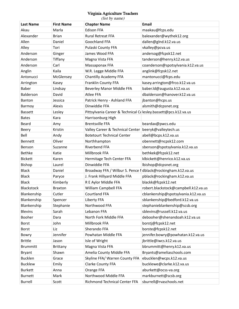#### Virginia Agriculture Teachers

| <b>Last Name</b> | <b>First Name</b> | (list by name)<br><b>Chapter Name</b>                          | Email                                |
|------------------|-------------------|----------------------------------------------------------------|--------------------------------------|
| Akau             | Marla             | <b>Edison FFA</b>                                              | maakau@fcps.edu                      |
| Alexander        | <b>Brian</b>      | Rural Retreat FFA                                              | balexander@wythek12.org              |
| Allen            | Daniel            | Goochland FFA                                                  | dallen@glnd.k12.va.us                |
| Alley            | Tori              | Pulaski County FFA                                             | vkalley@pcva.us                      |
| Anderson         | Ginger            | James Wood FFA                                                 | andersog@fcpsk12.net                 |
| Anderson         | Tiffany           | Magna Vista FFA                                                | tanderson@henry.k12.va.us            |
| Anderson         | Carl              | Massaponax FFA                                                 | coanderson@spotsylvania.k12.va.us    |
| Anglin           | Kaila             | W.R. Legge Middle FFA                                          | anglink@fcpsk12.net                  |
| Antonucci        | McGlensey         | Chantilly Academy FFA                                          | mantonucci@fcps.edu                  |
| Arrington        | Kasey             | Franklin County FFA                                            | kasey.arrington@frco.k12.va.us       |
| Baber            | Lindsay           | Beverley Manor Middle FFA                                      | baber.Id@augusta.k12.va.us           |
| Balderson        | David             | <b>Atlee FFA</b>                                               | dbalderson@hanover.k12.va.us         |
| Banton           | Jessica           | Patrick Henry - Ashland FFA                                    | jbanton@hcps.us                      |
| Barmoy           | Alexis            | Dinwiddie FFA                                                  | alsmith@dcpsnet.org                  |
| <b>Bassett</b>   | Lesley            | Pittsylvania Career & Technical Colesley.bassett@pcs.k12.va.us |                                      |
| <b>Bates</b>     | Kara              | Harrisonburg High                                              |                                      |
| Beard            | Amy               | <b>Brentsville FFA</b>                                         | beardax@pwcs.edu                     |
| Beery            | Kristin           | Valley Career & Technical Center                               | beeryk@valleytech.us                 |
| Bell             | Andy              | <b>Botetourt Technical Center</b>                              | abell@bcps.k12.va.us                 |
| Bennett          | Oliver            | Northhampton                                                   | obennett@ncpsk12.com                 |
| Benson           | Suzanne           | <b>Riverbend FFA</b>                                           | sbenson@spotsylvania.k12.va.us       |
| Bethke           | Katie             | Millbrook FFA                                                  | bethkek@fcpsk12.net                  |
| <b>Bickett</b>   | Karen             | Hermitage Tech Center FFA                                      | klbickett@henrico.k12.va.us          |
| Bishop           | Laurel            | Dinwiddie FFA                                                  | lbishop@dcpsnet.org                  |
| <b>Black</b>     | Daniel            | Broadway FFA / Wilbur S. Pence I dblack@rockingham.k12.va.us   |                                      |
| <b>Black</b>     | Paryce            | J. Frank Hillyard Middle FFA                                   | pblack@rockingham.k12.va.us          |
| <b>Black</b>     | Kimberly          | R E Aylor Middle FFA                                           | blackk@fcpsk12.net                   |
| Blackstock       | <b>Braxton</b>    | William Campbell FFA                                           | robert.blackstock@campbell.k12.va.us |
| Blankenship      | Cutler            | Courtland FFA                                                  | cblankenship@spotsylvania.k12.va.us  |
| Blankenship      | Spencer           | Liberty FFA                                                    | sblankenship@bedford.k12.va.us       |
| Blankenship      | Stephanie         | Northwood FFA                                                  | stephanieblankenship@scsb.org        |
| <b>Blevins</b>   | Sarah             | Lebanon FFA                                                    | sblevins@russell.k12.va.us           |
| Booher           | Dara              | North Fork Middle FFA                                          | debooher@shenandoah.k12.va.us        |
| <b>Borst</b>     | John              | Millbrook FFA                                                  | borstj@fcpsk12.net                   |
| <b>Borst</b>     | Liz               | Sherando FFA                                                   | borste@fcpsk12.net                   |
| Bowry            | Jennifer          | Powhatan Middle FFA                                            | jennifer.bowry@powhatan.k12.va.us    |
| <b>Brittle</b>   | Jason             | Isle of Wright                                                 | jbrittle@iwcs.k12.va.us              |
| <b>Brummitt</b>  | Brittany          | Magna Vista FFA                                                | bbrummitt@henry.k12.va.us            |
| Bryant           | Shawn             | Amelia County Middle FFA                                       | Bryants@ameliaschools.com            |
| <b>Bucklen</b>   | Grace             | Skyline FFA/ Warren County FFA                                 | ebucklen@wcps.k12.va.us              |
| <b>Bucklew</b>   | Emily             | Clarke County FFA                                              | bucklewe@clarke.k12.va.us            |
| <b>Burkett</b>   | Anna              | Orange FFA                                                     | aburkett@ocss-va.org                 |
| <b>Burnett</b>   | Mark              | Northwood Middle FFA                                           | markburnett@scsb.org                 |
| <b>Burrell</b>   | Scott             | Richmond Technical Center FFA                                  | sburrell@rvaschools.net              |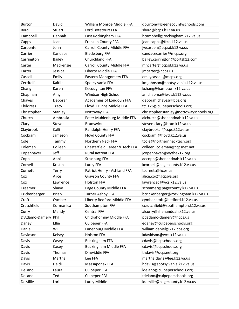| <b>Burton</b>  | David         | William Monroe Middle FFA      | dburton@greenecountyschools.com         |
|----------------|---------------|--------------------------------|-----------------------------------------|
| Byrd           | Stuart        | Lord Botetourt FFA             | sbyrd@bcps.k12.va.us                    |
| Campbell       | Hannah        | East Rockingham FFA            | hcampbell@rockingham.k12.va.us          |
| Capps          | Jean          | Franklin County FFA            | jean.capps@frco.k12.va.us               |
| Carpenter      | John          | Carroll County Middle FFA      | jwcarpen@ccpsd.k12.va.us                |
| Carrier        | Candace       | <b>Blacksburg FFA</b>          | candacecarrier@mcps.org                 |
| Carrington     | <b>Bailey</b> | Churchland FFA                 | bailey.carrington@portsk12.com          |
| Carter         | Mackenzie     | Carroll County Middle FFA      | mncarter@ccpsd.k12.va.us                |
| Carter         | Jessica       | Liberty Middle FFA             | jmcarter@hcps.us                        |
| Cassell        | Emily         | Eastern Montgomery FFA         | emilycassell@mcps.org                   |
| Cerritelli     | Kaitlin       | Spotsylvania FFA               | kmjohnson@spotsylvania.k12.va.us        |
| Chang          | Karen         | Kecoughtan FFA                 | kchang@hampton.k12.va.us                |
| Chapman        | Amy           | Windsor High School            | amchapma@iwcs.k112.va.us                |
| Chaves         | Deborah       | Academies of Loudoun FFA       | deborah.chaves@lcps.org                 |
| Childress      | <b>Tracy</b>  | Floyd T Binns Middle FFA       | tc9126@culpeperschools.org              |
| Christopher    | Stanley       | Nottoway FFA                   | christopher.stanley@nottowayschools.org |
| Church         | Ambrosia      | Peter Muhlenburg Middle FFA    | alchurch@shenandoah.k12.va.us           |
| Clary          | Steven        | <b>Brunswick</b>               | steven.clary@brun.k12.va.us             |
| Claybrook      | Calli         | Randolph-Henry FFA             | claybrookcf@ccps.k12.va.us              |
| Cockram        | Jameson       | Floyd County FFA               | cockramj@floyd.k12.va.us                |
| Cole           | Tammy         | Northern Neck FFA              | tcole@northernnecktech.org              |
| Coleman        | Colleen       | Chesterfield Career & Tech FFA | colleen_coleman@ccpsnet.net             |
| Copenhaver     | Jeff          | Rural Retreat FFA              | jcopenhaver@wythek12.org                |
| Copp           | Abbi          | <b>Strasburg FFA</b>           | aecopp@shenandoah.k12.va.us             |
| Cornell        | Kristin       | Luray FFA                      | kcornell@pagecounty.k12.va.us           |
| Cornett        | Terry         | Patrick Henry - Ashland FFA    | tcornett@hcps.us                        |
| Cox            | Alice         | <b>Grayson County FFA</b>      | alice.cox@gcpsva.org                    |
| Cox            | Lawrence      | <b>Holston FFA</b>             | lawrencec@wcs.k12.va.us                 |
| Creamer        | Shaye         | Page County Middle FFA         | screamer@pagecounty.k12.va.us           |
| Crickenberger  | Brian         | <b>Turner Ashby FFA</b>        | bcrickenberger@rockingham.k12.va.us     |
| Croft          | Cymber        | Liberty Bedford Middle FFA     | cymber.croft@bedford.k12.va.us          |
| Crutchfield    | Cormanica     | Southampton FFA                | ccrutchfield@southampton.k12.va.us      |
| Curry          | Mandy         | Central FFA                    | alcurry@shenandoah.k12.va.us            |
| D'Adamo-Damery | Phil          | Chickahominy Middle FFA        | pdadamo-damery@hcps.us                  |
| Daney          | Ellie         | <b>Culpeper FFA</b>            | edaney@culpeperschools.org              |
| Daniel         | Will          | Lunenburg Middle FFA           | william.daniel@k12lcps.org              |
| Davidson       | Kelsey        | <b>Holston FFA</b>             | kdavidson@wcs.k12.va.us                 |
| Davis          | Casey         | <b>Buckingham FFA</b>          | cdavis@bcpschools.org                   |
| Davis          | Casey         | <b>Buckingham Middle FFA</b>   | cdavis@bcpschools.org                   |
| Davis          | Thomas        | Dinwiddie FFA                  | thdavis@dcpsnet.org                     |
| Davis          | Martha        | Lee FFA                        | martha.davis@lee.k12.va.us              |
| Davis          | Heidi         | Massaponax FFA                 | hdavis@spotsylvania.k12.va.us           |
| DeLano         | Laura         | <b>Culpeper FFA</b>            | ldelano@culpeperschools.org             |
| DeLano         | Ted           | <b>Culpeper FFA</b>            | tdelano@culpeperschools.org             |
| DeMille        | Lori          | Luray Middle                   | Idemille@pagecounty.k12.va.us           |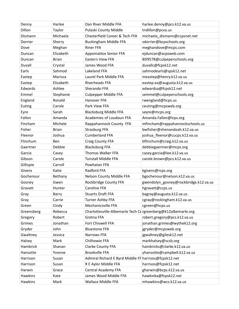| Denny          | Harlee       | Dan River Middle FFA                                          | harlee.denny@pcs.k12.va.us            |
|----------------|--------------|---------------------------------------------------------------|---------------------------------------|
| Dillon         | Taylor       | Pulaski County Middle                                         | tndillon@pcva.us                      |
| Dismann        | Michaela     | Chesterfield Career & Tech FFA                                | michaela dismann@ccpsnet.net          |
| Dorrier        | Sherry       | <b>Buckingham Middle FFA</b>                                  | sdorrier@bcpschools.org               |
| Dove           | Meghan       | <b>Riner FFA</b>                                              | meghandove@mcps.com                   |
| Duncan         | Elizabeth    | <b>Appomattox Senior FFA</b>                                  | ejduncan@acpsweb.com                  |
| Duncan         | <b>Brian</b> | <b>Eastern View FFA</b>                                       | BD9578@culpeperschools.org            |
| Duvall         | Crystal      | James Wood FFA                                                | duvallc@fcpsk12.net                   |
| Earls          | Sahmod       | Lakeland FFA                                                  | sahmodearls@spsk12.net                |
| Eastep         | Marissa      | Laurel Park Middle FFA                                        | meastep@henry.k12.va.us               |
| Eastep         | Elizabeth    | Riverheads FFA                                                | eastep.ea@augusta.k12.va.us           |
| Edwards        | Ashlee       | Sherando FFA                                                  | edwardsa@fcpsk12.net                  |
| Emmel          | Stephanie    | <b>Culpepper Middle FFA</b>                                   | semmel@culpeperschools.org            |
| England        | Ronald       | Hanover FFA                                                   | rwengland@hcps.us                     |
| Euting         | Carole       | Park View FFA                                                 | ceuting@mcpsweb.org                   |
| Eyre           | Sarah        | <b>Blacksburg Middle FFA</b>                                  | seyre@mcps.org                        |
| Fallon         | Amanda       | Academies of Loudoun FFA                                      | Amanda.Fallon@lcps.org                |
| Fincham        | Michele      | Rappahannock County FFA                                       | mfincham@rappahannockschools.us       |
| Fisher         | <b>Brian</b> | <b>Strasburg FFA</b>                                          | bwfisher@shenandoah.k12.va.us         |
| Fleenor        | Joshua       | <b>Cumberland FFA</b>                                         | joshua_fleenor@cucps.k12.va.us        |
| Flinchum       | Ben          | Craig County FFA                                              | bflinchum@craig.k12.va.us             |
| Gaertner       | Debbie       | <b>Blacksburg FFA</b>                                         | debbiegaertner@mcps.org               |
| Garcia         | Casey        | Thomas Walker FFA                                             | casey.garcia@lee.k12.va.us            |
| Gibson         | Carole       | <b>Tunstall Middle FFA</b>                                    | carole.brown@pcs.k12.va.us            |
| Gillispie      | Carroll      | Powhatan FFA                                                  |                                       |
| Givens         | Katie        | Radford FFA                                                   | kgivens@rcps.org                      |
| Gochenour      | Bethany      | Nelson County Middle FFA                                      | bgochenour@nelson.k12.va.us           |
| Gosney         | Gwen         | Rockbridge County FFA                                         | gwendolyn_gosney@rockbridge.k12.va.us |
| Gravatt        | Hunter       | Caroline FFA                                                  | hgravatt@ccps.us                      |
| Gray           | Barry        | <b>Stuarts Draft FFA</b>                                      | bagray@augusta.k12.va.us              |
| Gray           | Carrie       | Turner Ashby FFA                                              | cgray@rockingham.k12.va.us            |
| Green          | Cindy        | Mechanicsville FFA                                            | cgreen@hcps.us                        |
| Greensberg     | Rebecca      | Charlottesville-Albemarle Tech Cd rgreenberg@k12albemarle.org |                                       |
| Gregory        | Robert       | Gretna FFA                                                    | robert.gregory@pcs.k12.va.us          |
| Grimes         | Jonathan     | Fort Chiswell FFA                                             | jonathan.grimes@wythek12.org          |
| Gryder         | John         | <b>Bluestone FFA</b>                                          | jgryder@mcpsweb.org                   |
| Gwaltney       | Jessica      | Narrows FFA                                                   | jgwaltney@gilesk12.net                |
| Halsey         | Mark         | Chilhowie FFA                                                 | markhalsey@scsb.org                   |
| Hambrick       | Shanan       | Clarke County FFA                                             | hambricks@clarke.k12.va.us            |
| Hansotte       | Yvonne       | <b>Brookville FFA</b>                                         | yhansotte@campbell.k12.va.us          |
| Harrison       | Susan        | Admiral Richard E Byrd Middle FF harrisos@fcpsk12.net         |                                       |
| Harrison       | Susan        | R E Aylor Middle FFA                                          | harrisos@fcpsk12.net                  |
| Harwin         | Grace        | Central Academy FFA                                           | gharwin@bcps.k12.va.us                |
| Hawkins        | Kate         | James Wood Middle FFA                                         | hawkinka@fcpsk12.net                  |
| <b>Hawkins</b> | Mark         | Wallace Middle FFA                                            | mhawkins@wcs.k12.va.us                |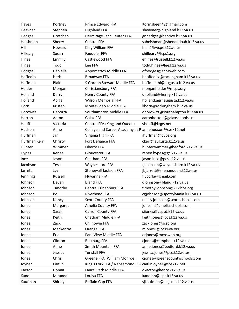| Hayes           | Kortney   | Prince Edward FFA                                         | Kormsbeeh42@gmail.com            |
|-----------------|-----------|-----------------------------------------------------------|----------------------------------|
| Heavner         | Stephen   | <b>Highland FFA</b>                                       | sheavner@highland.k12.va.us      |
| Hedges          | Gretchen  | Hermitage Tech Center FFA                                 | gnhedges@henrico.k12.va.us       |
| Heishman        | Sherry    | <b>Central FFA</b>                                        | saheishman@shenandoah.k12.va.us  |
| Hill            | Howard    | King William FFA                                          | hhill@kwcps.k12.va.us            |
| Hilleary        | Susan     | <b>Fauquier FFA</b>                                       | shilleary@fcps1.org              |
| Hines           | Emmily    | Castlewood FFA                                            | ehines@russell.k12.va.us         |
| Hines           | Todd      | Lee FFA                                                   | todd.hines@lee.k12.va.us         |
| Hodges          | Daniella  | <b>Appomattox Middle FFA</b>                              | dfhodges@acpsweb.com             |
| Hoffeditz       | Herb      | Broadway FFA                                              | hhoffeditz@rockingham.k12.va.us  |
| Hoffman         | Blair     | S Gordon Stewart Middle FFA                               | hoffman.bl@augusta.k12.va.us     |
| Holder          | Morgan    | Christiansburg FFA                                        | morganholder@mcps.org            |
| Holland         | Darryl    | Henry County FFA                                          | dholland@henry.k12.va.us         |
| Holland         | Abigail   | <b>Wilson Memorial FFA</b>                                | holland.ag@augusta.k12.va.us     |
| Horn            | Kristen   | Montevideo Middle FFA                                     | khorn@rockingham.k12.va.us       |
| Horowitz        | Deborra   | Southampton Middle FFA                                    | dhorowitz@southampton.k12.va.us  |
| Horton          | Aaron     | Galax FFA                                                 | aaronhorton@galaxschools.us      |
| Houff           | Victoria  | Central FFA (King and Queen)                              | vhouff@kqps.net                  |
| Hudson          | Anne      | College and Career Academy at P annehudson@spsk12.net     |                                  |
| Huffman         | Jan       | Virginia High FFA                                         | jhuffman@bvps.org                |
| Huffman Kerr    | Christy   | Fort Defiance FFA                                         | ckerr@augusta.k12.va.us          |
| Hunter          | Wimmer    | Liberty FFA                                               | hunter.wimmer@bedford.k12.va.us  |
| <b>Hypes</b>    | Renee     | Gloucester FFA                                            | renee.hypes@gc.k12.va.us         |
| Ince            | Jason     | Chatham FFA                                               | jason.ince@pcs.k12.va.us         |
| Jacobson        | Tess      | Waynesboro FFA                                            | tjacobson@waynesboro.k12.va.us   |
| Jarrett         | Jay       | Stonewall Jackson FFA                                     | jbjarrett@shenandoah.k12.va.us   |
| <b>Jennings</b> | Russell   | Fluvanna FFA                                              | flucoffa@gmail.com               |
| Johnson         | Devan     | <b>Bland FFA</b>                                          | djohnson@bland.k12.va.us         |
| Johnson         | Timothy   | Central Lunenburg FFA                                     | timothy.johnson@k12lcps.org      |
| Johnson         | Bo        | Riverbend FFA                                             | cgjohnson@spotsylvania.k12.va.us |
| Johnson         | Nancy     | <b>Scott County FFA</b>                                   | nancy.johnson@scottschools.com   |
| Jones           | Margaret  | Amelia County FFA                                         | jonesm@ameliaschools.com         |
| Jones           | Sarah     | Carroll County FFA                                        | sjjones@ccpsd.k12.va.us          |
| Jones           | Keith     | Chatham Middle FFA                                        | keith.jones@pcs.k12.va.us        |
| Jones           | Zack      | Chilhowie FFA                                             | zackjones@scsb.org               |
| Jones           | Mackenzie | Orange FFA                                                | mjones1@ocss-va.org              |
| Jones           | Eric      | Park View Middle FFA                                      | erjones@mcpsweb.org              |
| Jones           | Clinton   | <b>Rustburg FFA</b>                                       | cjones@campbell.k12.va.us        |
| Jones           | Anne      | Smith Mountain FFA                                        | anne.jones@bedford.k12.va.us     |
| Jones           | Jessica   | <b>Tunstall FFA</b>                                       | jessica.jones@pcs.k12.va.us      |
| Jones           | Chris     | Greene FFA (William Monroe)                               | cjones@greenecountyschools.com   |
| Joyner          | Caitlin   | King's Fork FFA / Nansemond Rive caitlinjoyner@spsk12.net |                                  |
| Kaczor          | Donna     | Laurel Park Middle FFA                                    | dkaczor@henry.k12.va.us          |
| Kane            | Miranda   | Louisa FFA                                                | kanemh@lcps.k12.va.us            |
| Kaufman         | Shirley   | <b>Buffalo Gap FFA</b>                                    | sjkaufman@augusta.k12.va.us      |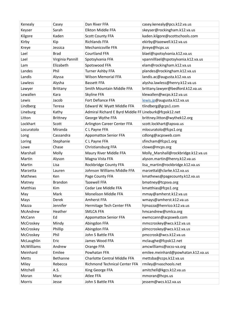| Kenealy           | Casey            | Dan River FFA                                         | casey.kenealy@pcs.k12.va.us         |
|-------------------|------------------|-------------------------------------------------------|-------------------------------------|
| Keyser            | Sarah            | Elkton Middle FFA                                     | skeyser@rockingham.k12.va.us        |
| Kilgore           | Kaden            | <b>Scott County FFA</b>                               | kaden.kilgore@scottschools.com      |
| Kirby             | Kip              | <b>Richlands FFA</b>                                  | ekirby@tazewell.k12.va.us           |
| Kreye             | Jessica          | Mechanicsville FFA                                    | jkreye@hcps.us                      |
| Lael              | <b>Brad</b>      | <b>Courtland FFA</b>                                  | blael@spotsylvania.k12.va.us        |
| Lael              | Virginia Pannill | Spotsylvania FFA                                      | vpannilllael@spotsylvania.k12.va.us |
| Lam               | Elizabeth        | Spotswood FFA                                         | elam@rockingham.k12.va.us           |
| Landes            | Phil             | Turner Ashby FFA                                      | plandes@rockingham.k12.va.us        |
| Landis            | Alyssa           | <b>Wilson Memorial FFA</b>                            | landis.ac@augusta.k12.va.us         |
| Lawless           | Alysha           | <b>Bassett FFA</b>                                    | alysha.lawless@henry.k12.va.us      |
| Lawyer            | Brittany         | Smith Mountain Middle FFA                             | brittany.lawyer@bedford.k12.va.us   |
| Lewallen          | Kara             | Skyline FFA                                           | klewallen@wcps.k12.va.us            |
| Lewis             | Jacob            | Fort Defiance FFA                                     | lewis.jp@augusta.k12.va.us          |
| Lindberg          | Teresa           | Edward W. Wyatt Middle FFA                            | tlindberg@gcps1.com                 |
| Lineburg          | Kathy            | Admiral Richard E Byrd Middle FF Lineburk@fcpsk12.net |                                     |
| Litton            | <b>Brittney</b>  | George Wythe FFA                                      | brittney.litton@wythek12.org        |
| Lockhart          | Scott            | Arlington Career Center FFA                           | scott.lockhart@apsva.us             |
| Locuratolo        | Miranda          | C L Payne FFA                                         | mlocuratolo@fcps1.org               |
| Long              | Cassandra        | <b>Appomattox Senior FFA</b>                          | cdlong@acpsweb.com                  |
| Loring            | Stephanie        | C L Payne FFA                                         | sfincham@fcps1.org                  |
| Lowe              | Chase            | Christiansburg FFA                                    | clowe@mcps.org                      |
| Marshall          | Molly            | Maury River Middle FFA                                | Molly_Marshall@rockbridge.k12.va.us |
| Martin            | Alyson           | Magna Vista FFA                                       | alyson.martin@henry.k12.va.us       |
| Martin            | Lisa             | Rockbridge County FFA                                 | lisa_martin@rockbridge.k12.va.us    |
| Marzetta          | Lauren           | Johnson Williams Middle FFA                           | marzettal@clarke.k12.va.us          |
| Mathews           | Ken              | Page County FFA                                       | kmathews@pagecounty.k12.va.us       |
| Matney            | <b>Brandon</b>   | <b>Tazewell FFA</b>                                   | bmatney@tcpsva.org                  |
| Matthias          | Kim              | Cedar Lee Middle FFA                                  | kmatthias@fcps1.org                 |
| May               | Mark             | Monelison Middle FFA                                  | mmay@amherst.k12.va.us              |
| Mays              | Derek            | Amherst FFA                                           | wmays@amherst.k12.va.us             |
| Mazza             | Jennifer         | Hermitage Tech Center FFA                             | hjmazza@henrico.k12.va.us           |
| McAndrew          | Heather          | <b>SMLCA FFA</b>                                      | hmcandrew@smlca.org                 |
| McCann            | Ed               | <b>Appomattox Senior FFA</b>                          | ewmccann@acpsweb.com                |
| McCroskey         | Mindy            | Abingdon FFA                                          | mmccroskey@wcs.k12.va.us            |
| McCroskey         | Phillip          | Abingdon FFA                                          | plmccroskey@wcs.k12.va.us           |
| McCroskey         | Phil             | John S Battle FFA                                     | pmccrosk@wcs.k12.va.us              |
| McLaughlin        | Eric             | James Wood FFA                                        | mclaughe@fcpsk12.net                |
| <b>McWilliams</b> | Andrew           | Orange FFA                                            | amcwilliams@ocss-va.org             |
| Meinhard          | Emilee           | Powhatan FFA                                          | emilee.meinhard@powhatan.k12.va.us  |
| Metts             | Bethanne         | Charlotte Central Middle FFA                          | mettsba@ccps.k12.va.us              |
| Miley             | Rebecca          | Richmond Technical Center FFA                         | rmiley@rvaschools.net               |
| Mitchell          | A.S.             | King George FFA                                       | amitchell@kgcs.k12.va.us            |
| Moran             | Marc             | Atlee FFA                                             | mmoran@hcps.us                      |
| Morris            | Jesse            | John S Battle FFA                                     | jessem@wcs.k12.va.us                |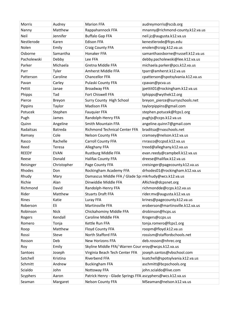| Morris       | Audrey      | <b>Marion FFA</b>                                         | audreymorris@scsb.org             |
|--------------|-------------|-----------------------------------------------------------|-----------------------------------|
| Nanny        | Matthew     | Rappahannock FFA                                          | mnanny@richmond-county.k12.va.us  |
| Neil         | Jennifer    | <b>Buffalo Gap FFA</b>                                    | neil.jc@augusta.k12.va.us         |
| Nestlerode   | Karen       | <b>Edison FFA</b>                                         | kenestlerode@fcps.edu             |
| Nolen        | Emily       | Craig County FFA                                          | enolen@craig.k12.va.us            |
| Osborne      | Samantha    | Honaker FFA                                               | samanthaosborne@russell.k12.va.us |
| Pacholewski  | Debby       | Lee FFA                                                   | debby.pacholewski@lee.k12.va.us   |
| Parker       | Michaela    | Gretna Middle FFA                                         | michaela.parker@pcs.k12.va.us     |
| Parr         | Tyler       | Amherst Middle FFA                                        | tparr@amherst.k12.va.us           |
| Patterson    | Caroline    | <b>Chancellor FFA</b>                                     | cpatterson@spotsylvania.k12.va.us |
| Pavan        | Carley      | Pulaski County FFA                                        | cpavan@pcva.us                    |
| Pettit       | Janae       | Broadway FFA                                              | jpettit01@rockingham.k12.va.us    |
| Phipps       | Tad         | Fort Chiswell FFA                                         | tphipps@wythek12.org              |
| Pierce       | Breyon      | Surry County High School                                  | breyon_pierce@surryschools.net    |
| Pippins      | Taylor      | <b>Madison FFA</b>                                        | taylorpippins@gmail.com           |
| Potucek      | Stephen     | <b>Fauquier FFA</b>                                       | stephen.potucek@fcps1.org         |
| Pugh         | James       | Randolph-Henry FFA                                        | pughjs@ccps.k12.va.us             |
| Quinn        | Angeline    | Smith Mountain FFA                                        | angeline.quinn7@gmail.com         |
| Radaitsas    | Batreda     | <b>Richmond Technical Center FFA</b>                      | braditsa@rvaschools.net           |
| Ramsey       | Cole        | Nelson County FFA                                         | cramsey@nelson.k12.va.us          |
| Rasco        | Rachelle    | <b>Carroll County FFA</b>                                 | rnrasco@ccpsd.k12.va.us           |
| Reed         | Teresa      | Alleghany FFA                                             | treed@alleghany.k12.va.us         |
| <b>REEDY</b> | <b>EVAN</b> | Rustburg Middle FFA                                       | evan.reedy@campbell.k12.va.us     |
| Reese        | Donald      | Halifax County FFA                                        | dreese@halifax.k12.va.us          |
| Reisinger    | Christopher | Page County FFA                                           | creisinger@pagecounty.k12.va.us   |
| Rhodes       | Don         | Rockingham Academy FFA                                    | drhodes01@rockingham.k12.va.us    |
| Rhudy        | Mary        | Damascus Middle FFA / Glade Sp mkrhudy@wcs.k12.va.us      |                                   |
| Richie       | Alan        | Dinwiddie Middle FFA                                      | ARichie@dcpsnet.org               |
| Richmond     | David       | Randolph-Henry FFA                                        | richmondde@ccps.k12.va.us         |
| Rider        | Matthew     | <b>Stuarts Draft FFA</b>                                  | rider.mv@augusta.k12.va.us        |
| Rines        | Katie       | Luray FFA                                                 | krines@pagecounty.k12.va.us       |
| Roberson     | Eli         | Martinsville FFA                                          | eroberson@martinsville.k12.va.us  |
| Robinson     | <b>Nick</b> | Chickahominy Middle FFA                                   | drobinson@hcps.us                 |
| Rogers       | Kendall     | Caroline Middle FFA                                       | Krogers@ccps.us                   |
| Romero       | Tonja       | Kettle Run FFA                                            | tonja.romero@fcps1.org            |
| Roop         | Matthew     | Floyd County FFA                                          | roopm@floyd.k12.va.us             |
| Rossi        | Steve       | North Stafford FFA                                        | rossism@staffordschools.net       |
| Rosson       | Deb         | New Horizons FFA                                          | deb.rosson@nhrec.org              |
| Roy          | Emily       | Skyline Middle FFA/ Warren Cour eroy@wcps.k12.va.us       |                                   |
| Santoes      | Joseph      | Virginia Beach Tech Center FFA                            | joseph.santos@vbschool.com        |
| Satchell     | Kristina    | Riverbend FFA                                             | ksatchell@spotsylvania.k12.va.us  |
| Schmitt      | Andrew      | <b>Buckingham FFA</b>                                     | aschmitt@bcpschools.org           |
| Scialdo      | John        | Nottoway FFA                                              | john.scialdo@live.com             |
| Scyphers     | Aaron       | Patrick Henry - Glade Springs FFA ascyphers@wcs.k12.va.us |                                   |
| Seaman       | Margaret    | <b>Nelson County FFA</b>                                  | MSeaman@nelson.k12.va.us          |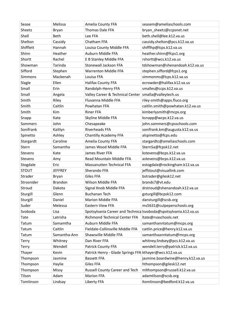| Sease        | Melissa        | Amelia County FFA                                       | seasem@ameliaschools.com                                         |
|--------------|----------------|---------------------------------------------------------|------------------------------------------------------------------|
| Sheetz       | Bryan          | Thomas Dale FFA                                         | bryan_sheetz@ccpsnet.net                                         |
| Shell        | Beth           | Lee FFA                                                 | beth.shell@lee.k12.va.us                                         |
| Shelton      | Cassidy        | Chatham FFA                                             | cassidy.shelton@pcs.k12.va.us                                    |
| Shifflett    | Hannah         | Louisa County Middle FFA                                | shifflhp@lcps.k12.va.us                                          |
| Shinn        | Heather        | Auburn Middle FFA                                       | heather.shinn@fcps1.org                                          |
| Shortt       | Rachel         | E B Stanley Middle FFA                                  | rshortt@wcs.k12.va.us                                            |
| Showman      | Tarinda        | <b>Stonewall Jackson FFA</b>                            | tdshowman@shenandoah.k12.va.us                                   |
| Sifford      | Stephen        | <b>Warrenton Middle FFA</b>                             | stephen.sifford@fcps1.org                                        |
| Simmons      | Mackenah       | Louisa FFA                                              | simmonms@lcps.k12.va.us                                          |
| Slagle       | Ellen          | <b>Halifax County FFA</b>                               | ecrowder@halifax.k12.va.us                                       |
| Small        | Erin           | Randolph-Henry FFA                                      | smalles@ccps.k12.va.us                                           |
| Small        | Angela         | Valley Career & Technical Center                        | smalla@valleytech.us                                             |
| Smith        | Riley          | Fluvanna Middle FFA                                     | riley-smith@apps.fluco.org                                       |
| Smith        | Caitlin        | Powhatan FFA                                            | caitlin.smith@powhatan.k12.va.us                                 |
| Smith        | Kim            | <b>Riner FFA</b>                                        | kimberlysmith@mcps.org                                           |
| Snapp        | Kate           | Skyline Middle FFA                                      | ksnapp@wcps.k12.va.us                                            |
| Sommers      | John           | Chesapeake                                              | john.sommers@cpsschools.com                                      |
| Sonifrank    | Kaitlyn        | Riverheads FFA                                          | sonifrank.km@augusta.k12.va.us                                   |
| Spinetto     | Ashley         | Chantilly Academy FFA                                   | alspinetto@fcps.edu                                              |
| Stargardt    | Caroline       | Amelia County FFA                                       | stargardtc@ameliaschools.com                                     |
| Stern        | Samantha       | James Wood Middle FFA                                   | SternSa@fcpsk12.net                                              |
| Stevens      | Kate           | James River FFA                                         | kstevens@bcps.k12.va.us                                          |
| Stevens      | Amy            | Read Mountain Middle FFA                                | astevens@bcps.k12.va.us                                          |
| Stogdale     | Eric           | <b>Massanutten Technical FFA</b>                        | estogdale@rockingham.k12.va.us                                   |
| <b>STOUT</b> | <b>JEFFREY</b> | Sherando FFA                                            | jeffstout@visuallink.com                                         |
| Strader      | Bryan          | Giles FFA                                               | bstrader@gilesk12.net                                            |
| Strosnider   | <b>Brandon</b> | Wilson Middle FFA                                       | brands7@vt.edu                                                   |
| Stroud       | Dakota         | Signal Knob Middle FFA                                  | drstroud@shenandoah.k12.va.us                                    |
| Sturgill     | Glenn          | <b>Buchanan Tech</b>                                    | gsturgill@bcpsk12.com                                            |
| Sturgill     | Daniel         | Marion Middle FFA                                       | dansturgill@scsb.org                                             |
| Suder        | Melessa        | <b>Eastern View FFA</b>                                 | ms5631@culpeperschools.org                                       |
| Svoboda      | Lisa           |                                                         | Spotsylvania Career and Technica Isvoboda@spotsylvania.k12.va.us |
| Tate         | Latrisha       | Richmond Technical Center FFA                           | ltate@rvaschools.net                                             |
| Tatum        | Samamtha       | Auburn Middle FFA                                       | samanthanntatum@mcps.org                                         |
| Tatum        | Caitlin        | Fieldale-Collinsville Middle FFA                        | caitlin.price@henry.k12.va.us                                    |
| Tatum        | Samantha-Ann   | Shawsville Middle FFA                                   | samanthaanntatum@mcps.org                                        |
| <b>Terry</b> | Whitney        | Dan River FFA                                           | whitney.lindsey@pcs.k12.va.us                                    |
| Terry        | Wendell        | Patrick County FFA                                      | wendell.terry@patrick.k12.va.us                                  |
| Thayer       | Kevin          | Patrick Henry - Glade Springs FFA kthayer@wcs.k12.va.us |                                                                  |
| Thompson     | Jasmine        | <b>Bassett FFA</b>                                      | jasmine.boardwine@henry.k12.va.us                                |
| Thompson     | Haylie         | Giles FFA                                               | hthompson@gilesk12.net                                           |
| Thompson     | Missy          | Russell County Career and Tech                          | mlthompson@russell.k12.va.us                                     |
| Tilson       | Adam           | <b>Marion FFA</b>                                       | adamtilson@scsb.org                                              |
| Tomlinson    | Lindsay        | Liberty FFA                                             | ltomlinson@bedford.k12.va.us                                     |